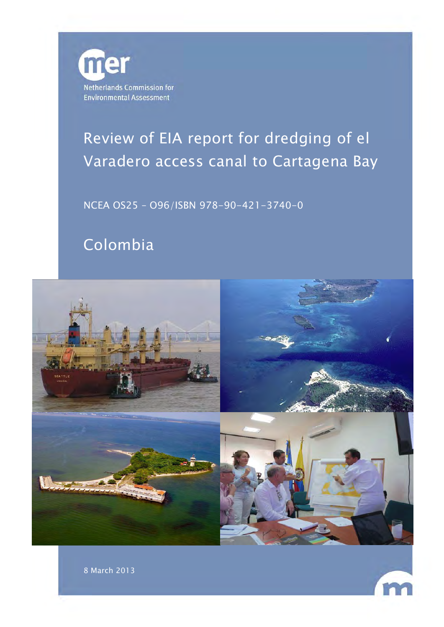

# Review of EIA report for dredging of el Varadero access canal to Cartagena Bay

NCEA OS25 – O96/ISBN 978-90-421-3740-0

# Colombia

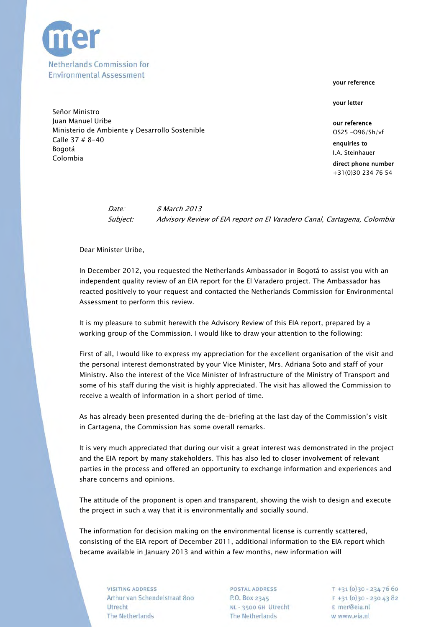

your reference

your letter

direct phone number +31(0)30 234 76 54

Date: 8 March 2013 Subject: Advisory Review of EIA report on El Varadero Canal, Cartagena, Colombia

Dear Minister Uribe,

In December 2012, you requested the Netherlands Ambassador in Bogotá to assist you with an independent quality review of an EIA report for the El Varadero project. The Ambassador has reacted positively to your request and contacted the Netherlands Commission for Environmental Assessment to perform this review.

It is my pleasure to submit herewith the Advisory Review of this EIA report, prepared by a working group of the Commission. I would like to draw your attention to the following:

First of all, I would like to express my appreciation for the excellent organisation of the visit and the personal interest demonstrated by your Vice Minister, Mrs. Adriana Soto and staff of your Ministry. Also the interest of the Vice Minister of Infrastructure of the Ministry of Transport and some of his staff during the visit is highly appreciated. The visit has allowed the Commission to receive a wealth of information in a short period of time.

As has already been presented during the de-briefing at the last day of the Commission's visit in Cartagena, the Commission has some overall remarks.

It is very much appreciated that during our visit a great interest was demonstrated in the project and the EIA report by many stakeholders. This has also led to closer involvement of relevant parties in the process and offered an opportunity to exchange information and experiences and share concerns and opinions.

The attitude of the proponent is open and transparent, showing the wish to design and execute the project in such a way that it is environmentally and socially sound.

The information for decision making on the environmental license is currently scattered, consisting of the EIA report of December 2011, additional information to the EIA report which became available in January 2013 and within a few months, new information will

**VISITING ADDRESS** Arthur van Schendelstraat 800 Utrecht The Netherlands

POSTAL ADDRESS P.O. Box 2345 NL - 3500 GH Utrecht The Netherlands

 $T + 31(0)30 - 2347660$  $F + 31(0)30 - 2304382$ E mer@eia.nl w www.eia.nl

Señor Ministro Juan Manuel Uribe **our reference** Ministerio de Ambiente y Desarrollo Sostenible **Canadian Ecceptual According Costenial According Costenial According Costenial According Costenial According OS25 -096/Sh/vf** Calle 37 # 8-40 enquiries to enquiries to enquiries to enquiries to enquiries to enquiries to enquiries to entropy. Bogotá I.A. Steinhauer Colombia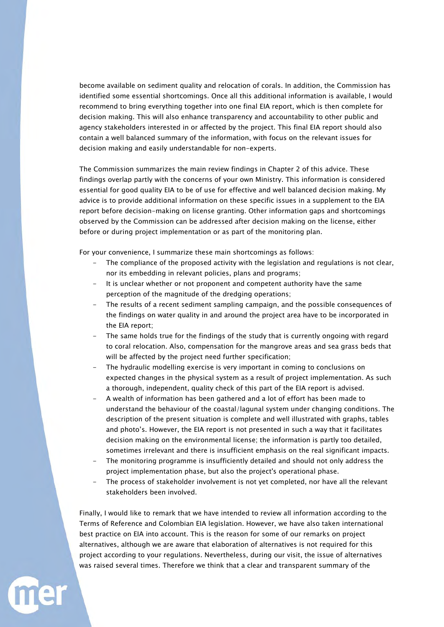become available on sediment quality and relocation of corals. In addition, the Commission has identified some essential shortcomings. Once all this additional information is available, I would recommend to bring everything together into one final EIA report, which is then complete for decision making. This will also enhance transparency and accountability to other public and agency stakeholders interested in or affected by the project. This final EIA report should also contain a well balanced summary of the information, with focus on the relevant issues for decision making and easily understandable for non-experts.

The Commission summarizes the main review findings in Chapter 2 of this advice. These findings overlap partly with the concerns of your own Ministry. This information is considered essential for good quality EIA to be of use for effective and well balanced decision making. My advice is to provide additional information on these specific issues in a supplement to the EIA report before decision-making on license granting. Other information gaps and shortcomings observed by the Commission can be addressed after decision making on the license, either before or during project implementation or as part of the monitoring plan.

For your convenience, I summarize these main shortcomings as follows:

- The compliance of the proposed activity with the legislation and regulations is not clear, nor its embedding in relevant policies, plans and programs;
- It is unclear whether or not proponent and competent authority have the same perception of the magnitude of the dredging operations;
- The results of a recent sediment sampling campaign, and the possible consequences of the findings on water quality in and around the project area have to be incorporated in the EIA report;
- The same holds true for the findings of the study that is currently ongoing with regard to coral relocation. Also, compensation for the mangrove areas and sea grass beds that will be affected by the project need further specification:
- The hydraulic modelling exercise is very important in coming to conclusions on expected changes in the physical system as a result of project implementation. As such a thorough, independent, quality check of this part of the EIA report is advised.
- A wealth of information has been gathered and a lot of effort has been made to understand the behaviour of the coastal/lagunal system under changing conditions. The description of the present situation is complete and well illustrated with graphs, tables and photo's. However, the EIA report is not presented in such a way that it facilitates decision making on the environmental license; the information is partly too detailed, sometimes irrelevant and there is insufficient emphasis on the real significant impacts.
- The monitoring programme is insufficiently detailed and should not only address the project implementation phase, but also the project's operational phase.
- The process of stakeholder involvement is not yet completed, nor have all the relevant stakeholders been involved.

Finally, I would like to remark that we have intended to review all information according to the Terms of Reference and Colombian EIA legislation. However, we have also taken international best practice on EIA into account. This is the reason for some of our remarks on project alternatives, although we are aware that elaboration of alternatives is not required for this project according to your regulations. Nevertheless, during our visit, the issue of alternatives was raised several times. Therefore we think that a clear and transparent summary of the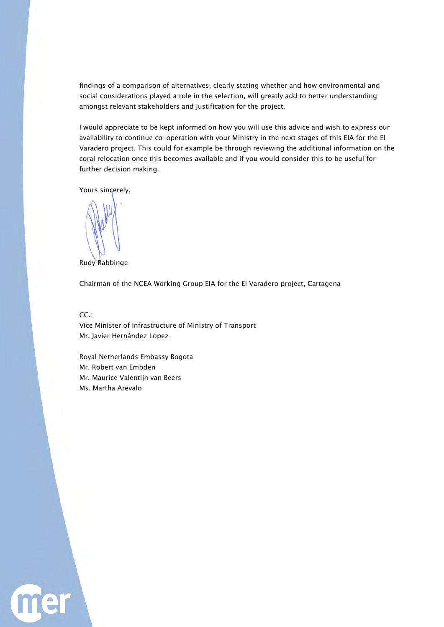findings of a comparison of alternatives, clearly stating whether and how environmental and social considerations played a role in the selection, will greatly add to better understanding amongst relevant stakeholders and justification for the project.

I would appreciate to be kept informed on how you will use this advice and wish to express our availability to continue co-operation with your Ministry in the next stages of this EIA for the El Varadero project. This could for example be through reviewing the additional information on the coral relocation once this becomes available and if you would consider this to be useful for further decision making.

Yours sincerely,

Rudy Rabbinge

Chairman of the NCEA Working Group EIA for the El Varadero project, Cartagena

CC.:

Vice Minister of Infrastructure of Ministry of Transport Mr. Javier Hernández López

Royal Netherlands Embassy Bogota Mr. Robert van Embden Mr. Maurice Valentijn van Beers Ms. Martha Arévalo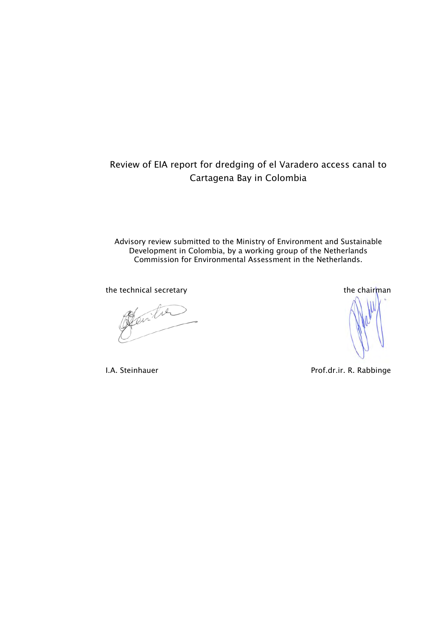## Review of EIA report for dredging of el Varadero access canal to Cartagena Bay in Colombia

Advisory review submitted to the Ministry of Environment and Sustainable Development in Colombia, by a working group of the Netherlands Commission for Environmental Assessment in the Netherlands.

the technical secretary the chairman the chairman

Jenitre

I.A. Steinhauer **Prof.dr.ir. R. Rabbinge**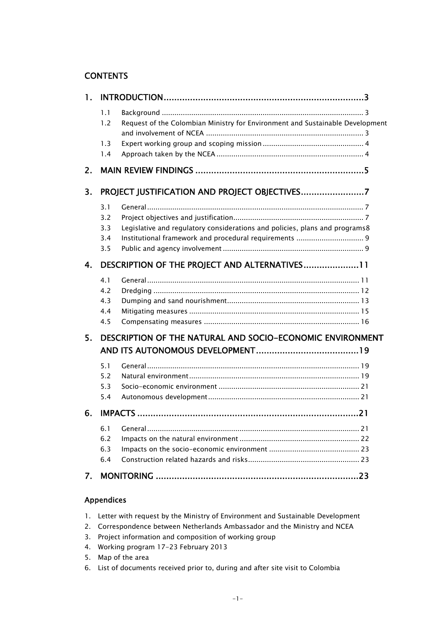## **CONTENTS**

| 1. |                                                                  |                                                                               |  |  |  |  |
|----|------------------------------------------------------------------|-------------------------------------------------------------------------------|--|--|--|--|
|    | 1.1<br>1.2<br>1.3                                                | Request of the Colombian Ministry for Environment and Sustainable Development |  |  |  |  |
|    | 1.4                                                              |                                                                               |  |  |  |  |
| 2. |                                                                  |                                                                               |  |  |  |  |
| 3. |                                                                  |                                                                               |  |  |  |  |
|    | 3.1<br>3.2<br>3.3<br>3.4<br>3.5                                  | Legislative and regulatory considerations and policies, plans and programs8   |  |  |  |  |
| 4. | DESCRIPTION OF THE PROJECT AND ALTERNATIVES 11                   |                                                                               |  |  |  |  |
|    | 4.1<br>4.2<br>4.3<br>4.4<br>4.5                                  |                                                                               |  |  |  |  |
| 5. | <b>DESCRIPTION OF THE NATURAL AND SOCIO-ECONOMIC ENVIRONMENT</b> |                                                                               |  |  |  |  |
|    | 5.1<br>5.2<br>5.3<br>5.4                                         |                                                                               |  |  |  |  |
| 6. |                                                                  |                                                                               |  |  |  |  |
|    | 6.1<br>6.2<br>6.3<br>6.4                                         |                                                                               |  |  |  |  |
| 7. |                                                                  |                                                                               |  |  |  |  |

### Appendices

|  |  | 1. Letter with request by the Ministry of Environment and Sustainable Development |  |
|--|--|-----------------------------------------------------------------------------------|--|
|  |  |                                                                                   |  |

- 2. Correspondence between Netherlands Ambassador and the Ministry and NCEA
- 3. Project information and composition of working group
- 4. Working program 17-23 February 2013
- 5. Map of the area
- 6. List of documents received prior to, during and after site visit to Colombia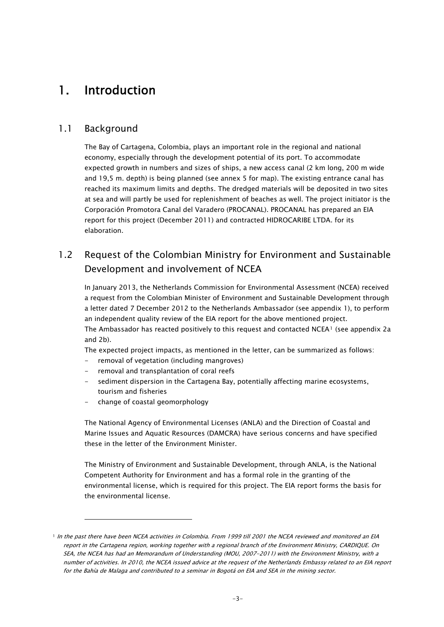## <span id="page-6-0"></span>1. Introduction

## <span id="page-6-1"></span>1.1 Background

The Bay of Cartagena, Colombia, plays an important role in the regional and national economy, especially through the development potential of its port. To accommodate expected growth in numbers and sizes of ships, a new access canal (2 km long, 200 m wide and 19,5 m. depth) is being planned (see annex 5 for map). The existing entrance canal has reached its maximum limits and depths. The dredged materials will be deposited in two sites at sea and will partly be used for replenishment of beaches as well. The project initiator is the Corporación Promotora Canal del Varadero (PROCANAL). PROCANAL has prepared an EIA report for this project (December 2011) and contracted HIDROCARIBE LTDA. for its elaboration.

## <span id="page-6-2"></span>1.2 Request of the Colombian Ministry for Environment and Sustainable Development and involvement of NCEA

In January 2013, the Netherlands Commission for Environmental Assessment (NCEA) received a request from the Colombian Minister of Environment and Sustainable Development through a letter dated 7 December 2012 to the Netherlands Ambassador (see appendix 1), to perform an independent quality review of the EIA report for the above mentioned project.

The Ambassador has reacted positively to this request and contacted NCEA[1](#page-6-3) (see appendix 2a and 2b).

The expected project impacts, as mentioned in the letter, can be summarized as follows:

- removal of vegetation (including mangroves)
- removal and transplantation of coral reefs
- sediment dispersion in the Cartagena Bay, potentially affecting marine ecosystems, tourism and fisheries
- change of coastal geomorphology

l

The National Agency of Environmental Licenses (ANLA) and the Direction of Coastal and Marine Issues and Aquatic Resources (DAMCRA) have serious concerns and have specified these in the letter of the Environment Minister.

The Ministry of Environment and Sustainable Development, through ANLA, is the National Competent Authority for Environment and has a formal role in the granting of the environmental license, which is required for this project. The EIA report forms the basis for the environmental license.

<span id="page-6-3"></span><sup>&</sup>lt;sup>1</sup> In the past there have been NCEA activities in Colombia. From 1999 till 2001 the NCEA reviewed and monitored an EIA report in the Cartagena region, working together with a regional branch of the Environment Ministry, CARDIQUE. On SEA, the NCEA has had an Memorandum of Understanding (MOU, 2007-2011) with the Environment Ministry, with a number of activities. In 2010, the NCEA issued advice at the request of the Netherlands Embassy related to an EIA report for the Bahía de Malaga and contributed to a seminar in Bogotá on EIA and SEA in the mining sector.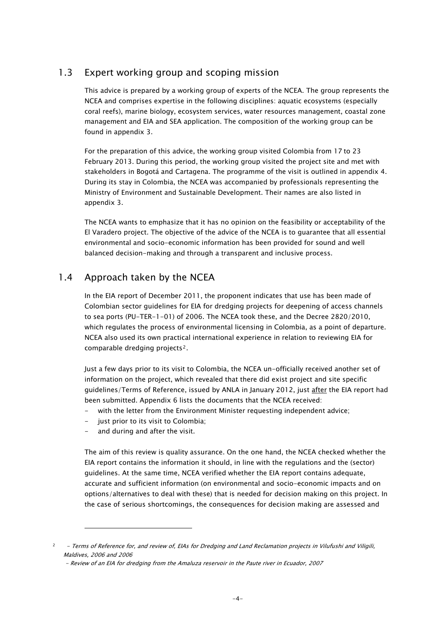## <span id="page-7-0"></span>1.3 Expert working group and scoping mission

This advice is prepared by a working group of experts of the NCEA. The group represents the NCEA and comprises expertise in the following disciplines: aquatic ecosystems (especially coral reefs), marine biology, ecosystem services, water resources management, coastal zone management and EIA and SEA application. The composition of the working group can be found in appendix 3.

For the preparation of this advice, the working group visited Colombia from 17 to 23 February 2013. During this period, the working group visited the project site and met with stakeholders in Bogotá and Cartagena. The programme of the visit is outlined in appendix 4. During its stay in Colombia, the NCEA was accompanied by professionals representing the Ministry of Environment and Sustainable Development. Their names are also listed in appendix 3.

The NCEA wants to emphasize that it has no opinion on the feasibility or acceptability of the El Varadero project. The objective of the advice of the NCEA is to guarantee that all essential environmental and socio-economic information has been provided for sound and well balanced decision-making and through a transparent and inclusive process.

## <span id="page-7-1"></span>1.4 Approach taken by the NCEA

In the EIA report of December 2011, the proponent indicates that use has been made of Colombian sector guidelines for EIA for dredging projects for deepening of access channels to sea ports (PU-TER-1-01) of 2006. The NCEA took these, and the Decree 2820/2010, which regulates the process of environmental licensing in Colombia, as a point of departure. NCEA also used its own practical international experience in relation to reviewing EIA for comparable dredging projects[2](#page-7-2).

Just a few days prior to its visit to Colombia, the NCEA un-officially received another set of information on the project, which revealed that there did exist project and site specific guidelines/Terms of Reference, issued by ANLA in January 2012, just after the EIA report had been submitted. Appendix 6 lists the documents that the NCEA received:

- with the letter from the Environment Minister requesting independent advice;
- just prior to its visit to Colombia;
- and during and after the visit.

 $\overline{a}$ 

The aim of this review is quality assurance. On the one hand, the NCEA checked whether the EIA report contains the information it should, in line with the regulations and the (sector) guidelines. At the same time, NCEA verified whether the EIA report contains adequate, accurate and sufficient information (on environmental and socio-economic impacts and on options/alternatives to deal with these) that is needed for decision making on this project. In the case of serious shortcomings, the consequences for decision making are assessed and

<span id="page-7-2"></span><sup>2</sup> - Terms of Reference for, and review of, EIAs for Dredging and Land Reclamation projects in Vilufushi and Viligili, Maldives, 2006 and 2006

- Review of an EIA for dredging from the Amaluza reservoir in the Paute river in Ecuador, 2007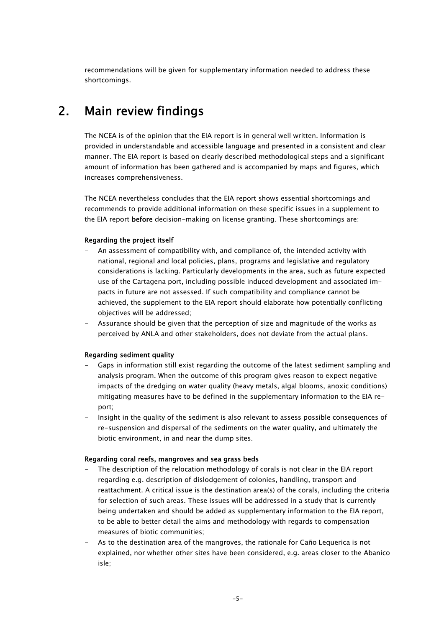recommendations will be given for supplementary information needed to address these shortcomings.

## <span id="page-8-0"></span>2. Main review findings

The NCEA is of the opinion that the EIA report is in general well written. Information is provided in understandable and accessible language and presented in a consistent and clear manner. The EIA report is based on clearly described methodological steps and a significant amount of information has been gathered and is accompanied by maps and figures, which increases comprehensiveness.

The NCEA nevertheless concludes that the EIA report shows essential shortcomings and recommends to provide additional information on these specific issues in a supplement to the EIA report before decision-making on license granting. These shortcomings are:

#### Regarding the project itself

- An assessment of compatibility with, and compliance of, the intended activity with national, regional and local policies, plans, programs and legislative and regulatory considerations is lacking. Particularly developments in the area, such as future expected use of the Cartagena port, including possible induced development and associated impacts in future are not assessed. If such compatibility and compliance cannot be achieved, the supplement to the EIA report should elaborate how potentially conflicting objectives will be addressed;
- Assurance should be given that the perception of size and magnitude of the works as perceived by ANLA and other stakeholders, does not deviate from the actual plans.

#### Regarding sediment quality

- Gaps in information still exist regarding the outcome of the latest sediment sampling and analysis program. When the outcome of this program gives reason to expect negative impacts of the dredging on water quality (heavy metals, algal blooms, anoxic conditions) mitigating measures have to be defined in the supplementary information to the EIA report;
- Insight in the quality of the sediment is also relevant to assess possible consequences of re-suspension and dispersal of the sediments on the water quality, and ultimately the biotic environment, in and near the dump sites.

#### Regarding coral reefs, mangroves and sea grass beds

- The description of the relocation methodology of corals is not clear in the EIA report regarding e.g. description of dislodgement of colonies, handling, transport and reattachment. A critical issue is the destination area(s) of the corals, including the criteria for selection of such areas. These issues will be addressed in a study that is currently being undertaken and should be added as supplementary information to the EIA report, to be able to better detail the aims and methodology with regards to compensation measures of biotic communities;
- As to the destination area of the mangroves, the rationale for Caño Lequerica is not explained, nor whether other sites have been considered, e.g. areas closer to the Abanico isle;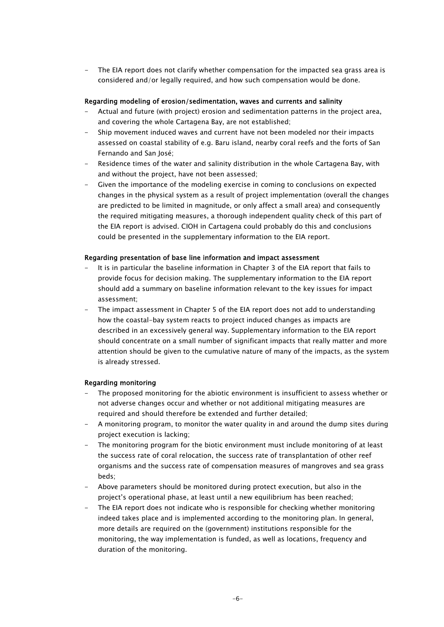- The EIA report does not clarify whether compensation for the impacted sea grass area is considered and/or legally required, and how such compensation would be done.

#### Regarding modeling of erosion/sedimentation, waves and currents and salinity

- Actual and future (with project) erosion and sedimentation patterns in the project area, and covering the whole Cartagena Bay, are not established;
- Ship movement induced waves and current have not been modeled nor their impacts assessed on coastal stability of e.g. Baru island, nearby coral reefs and the forts of San Fernando and San José;
- Residence times of the water and salinity distribution in the whole Cartagena Bay, with and without the project, have not been assessed;
- Given the importance of the modeling exercise in coming to conclusions on expected changes in the physical system as a result of project implementation (overall the changes are predicted to be limited in magnitude, or only affect a small area) and consequently the required mitigating measures, a thorough independent quality check of this part of the EIA report is advised. CIOH in Cartagena could probably do this and conclusions could be presented in the supplementary information to the EIA report.

#### Regarding presentation of base line information and impact assessment

- It is in particular the baseline information in Chapter 3 of the EIA report that fails to provide focus for decision making. The supplementary information to the EIA report should add a summary on baseline information relevant to the key issues for impact assessment;
- The impact assessment in Chapter 5 of the EIA report does not add to understanding how the coastal-bay system reacts to project induced changes as impacts are described in an excessively general way. Supplementary information to the EIA report should concentrate on a small number of significant impacts that really matter and more attention should be given to the cumulative nature of many of the impacts, as the system is already stressed.

#### Regarding monitoring

- The proposed monitoring for the abiotic environment is insufficient to assess whether or not adverse changes occur and whether or not additional mitigating measures are required and should therefore be extended and further detailed;
- A monitoring program, to monitor the water quality in and around the dump sites during project execution is lacking;
- The monitoring program for the biotic environment must include monitoring of at least the success rate of coral relocation, the success rate of transplantation of other reef organisms and the success rate of compensation measures of mangroves and sea grass beds;
- Above parameters should be monitored during protect execution, but also in the project's operational phase, at least until a new equilibrium has been reached;
- The EIA report does not indicate who is responsible for checking whether monitoring indeed takes place and is implemented according to the monitoring plan. In general, more details are required on the (government) institutions responsible for the monitoring, the way implementation is funded, as well as locations, frequency and duration of the monitoring.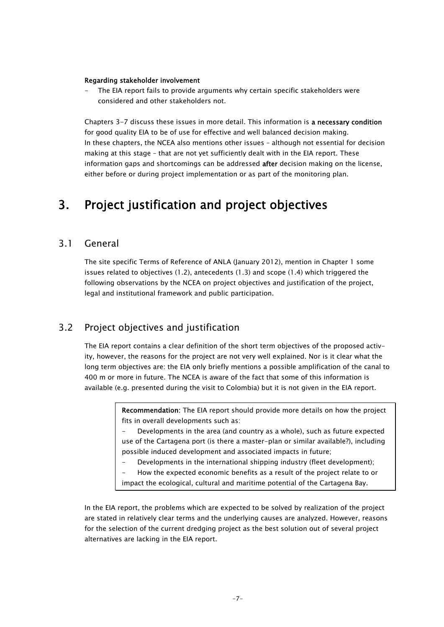#### Regarding stakeholder involvement

The EIA report fails to provide arguments why certain specific stakeholders were considered and other stakeholders not.

Chapters 3-7 discuss these issues in more detail. This information is a necessary condition for good quality EIA to be of use for effective and well balanced decision making. In these chapters, the NCEA also mentions other issues – although not essential for decision making at this stage – that are not yet sufficiently dealt with in the EIA report. These information gaps and shortcomings can be addressed after decision making on the license, either before or during project implementation or as part of the monitoring plan.

## <span id="page-10-0"></span>3. Project justification and project objectives

### <span id="page-10-1"></span>3.1 General

The site specific Terms of Reference of ANLA (January 2012), mention in Chapter 1 some issues related to objectives (1.2), antecedents (1.3) and scope (1.4) which triggered the following observations by the NCEA on project objectives and justification of the project, legal and institutional framework and public participation.

## <span id="page-10-2"></span>3.2 Project objectives and justification

The EIA report contains a clear definition of the short term objectives of the proposed activity, however, the reasons for the project are not very well explained. Nor is it clear what the long term objectives are: the EIA only briefly mentions a possible amplification of the canal to 400 m or more in future. The NCEA is aware of the fact that some of this information is available (e.g. presented during the visit to Colombia) but it is not given in the EIA report.

> Recommendation: The EIA report should provide more details on how the project fits in overall developments such as:

> Developments in the area (and country as a whole), such as future expected use of the Cartagena port (is there a master-plan or similar available?), including possible induced development and associated impacts in future;

Developments in the international shipping industry (fleet development);

How the expected economic benefits as a result of the project relate to or impact the ecological, cultural and maritime potential of the Cartagena Bay.

In the EIA report, the problems which are expected to be solved by realization of the project are stated in relatively clear terms and the underlying causes are analyzed. However, reasons for the selection of the current dredging project as the best solution out of several project alternatives are lacking in the EIA report.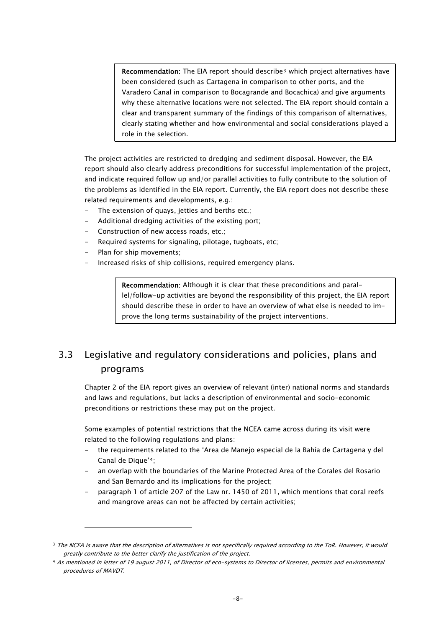Recommendation: The EIA report should describe[3](#page-11-1) which project alternatives have been considered (such as Cartagena in comparison to other ports, and the Varadero Canal in comparison to Bocagrande and Bocachica) and give arguments why these alternative locations were not selected. The EIA report should contain a clear and transparent summary of the findings of this comparison of alternatives, clearly stating whether and how environmental and social considerations played a role in the selection.

The project activities are restricted to dredging and sediment disposal. However, the EIA report should also clearly address preconditions for successful implementation of the project, and indicate required follow up and/or parallel activities to fully contribute to the solution of the problems as identified in the EIA report. Currently, the EIA report does not describe these related requirements and developments, e.g.:

- The extension of quays, jetties and berths etc.;
- Additional dredging activities of the existing port;
- Construction of new access roads, etc.;
- Required systems for signaling, pilotage, tugboats, etc;
- Plan for ship movements:

 $\overline{a}$ 

Increased risks of ship collisions, required emergency plans.

Recommendation: Although it is clear that these preconditions and parallel/follow-up activities are beyond the responsibility of this project, the EIA report should describe these in order to have an overview of what else is needed to improve the long terms sustainability of the project interventions.

## <span id="page-11-0"></span>3.3 Legislative and regulatory considerations and policies, plans and programs

Chapter 2 of the EIA report gives an overview of relevant (inter) national norms and standards and laws and regulations, but lacks a description of environmental and socio-economic preconditions or restrictions these may put on the project.

Some examples of potential restrictions that the NCEA came across during its visit were related to the following regulations and plans:

- the requirements related to the 'Area de Manejo especial de la Bahía de Cartagena y del Canal de Dique'[4](#page-11-2);
- an overlap with the boundaries of the Marine Protected Area of the Corales del Rosario and San Bernardo and its implications for the project;
- paragraph 1 of article 207 of the Law nr. 1450 of 2011, which mentions that coral reefs and mangrove areas can not be affected by certain activities;

<span id="page-11-1"></span><sup>&</sup>lt;sup>3</sup> The NCEA is aware that the description of alternatives is not specifically required according to the ToR. However, it would greatly contribute to the better clarify the justification of the project.

<span id="page-11-2"></span><sup>4</sup> As mentioned in letter of 19 august 2011, of Director of eco-systems to Director of licenses, permits and environmental procedures of MAVDT.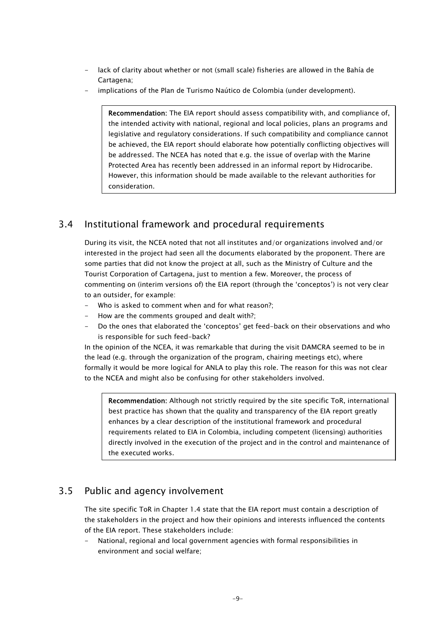- lack of clarity about whether or not (small scale) fisheries are allowed in the Bahía de Cartagena;
- implications of the Plan de Turismo Naútico de Colombia (under development).

Recommendation: The EIA report should assess compatibility with, and compliance of, the intended activity with national, regional and local policies, plans an programs and legislative and regulatory considerations. If such compatibility and compliance cannot be achieved, the EIA report should elaborate how potentially conflicting objectives will be addressed. The NCEA has noted that e.g. the issue of overlap with the Marine Protected Area has recently been addressed in an informal report by Hidrocaribe. However, this information should be made available to the relevant authorities for consideration.

## <span id="page-12-0"></span>3.4 Institutional framework and procedural requirements

During its visit, the NCEA noted that not all institutes and/or organizations involved and/or interested in the project had seen all the documents elaborated by the proponent. There are some parties that did not know the project at all, such as the Ministry of Culture and the Tourist Corporation of Cartagena, just to mention a few. Moreover, the process of commenting on (interim versions of) the EIA report (through the 'conceptos') is not very clear to an outsider, for example:

- Who is asked to comment when and for what reason?:
- How are the comments grouped and dealt with?;
- Do the ones that elaborated the 'conceptos' get feed-back on their observations and who is responsible for such feed-back?

In the opinion of the NCEA, it was remarkable that during the visit DAMCRA seemed to be in the lead (e.g. through the organization of the program, chairing meetings etc), where formally it would be more logical for ANLA to play this role. The reason for this was not clear to the NCEA and might also be confusing for other stakeholders involved.

Recommendation: Although not strictly required by the site specific ToR, international best practice has shown that the quality and transparency of the EIA report greatly enhances by a clear description of the institutional framework and procedural requirements related to EIA in Colombia, including competent (licensing) authorities directly involved in the execution of the project and in the control and maintenance of the executed works.

## <span id="page-12-1"></span>3.5 Public and agency involvement

The site specific ToR in Chapter 1.4 state that the EIA report must contain a description of the stakeholders in the project and how their opinions and interests influenced the contents of the EIA report. These stakeholders include:

National, regional and local government agencies with formal responsibilities in environment and social welfare;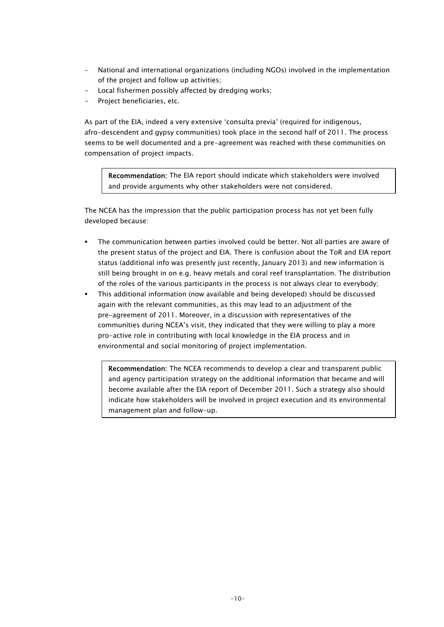- National and international organizations (including NGOs) involved in the implementation of the project and follow up activities;
- Local fishermen possibly affected by dredging works;
- Project beneficiaries, etc.

As part of the EIA, indeed a very extensive 'consulta previa' (required for indigenous, afro-descendent and gypsy communities) took place in the second half of 2011. The process seems to be well documented and a pre-agreement was reached with these communities on compensation of project impacts.

Recommendation: The EIA report should indicate which stakeholders were involved and provide arguments why other stakeholders were not considered.

The NCEA has the impression that the public participation process has not yet been fully developed because:

- The communication between parties involved could be better. Not all parties are aware of the present status of the project and EIA. There is confusion about the ToR and EIA report status (additional info was presently just recently, January 2013) and new information is still being brought in on e.g. heavy metals and coral reef transplantation. The distribution of the roles of the various participants in the process is not always clear to everybody;
- This additional information (now available and being developed) should be discussed again with the relevant communities, as this may lead to an adjustment of the pre-agreement of 2011. Moreover, in a discussion with representatives of the communities during NCEA's visit, they indicated that they were willing to play a more pro-active role in contributing with local knowledge in the EIA process and in environmental and social monitoring of project implementation.

Recommendation: The NCEA recommends to develop a clear and transparent public and agency participation strategy on the additional information that became and will become available after the EIA report of December 2011. Such a strategy also should indicate how stakeholders will be involved in project execution and its environmental management plan and follow-up.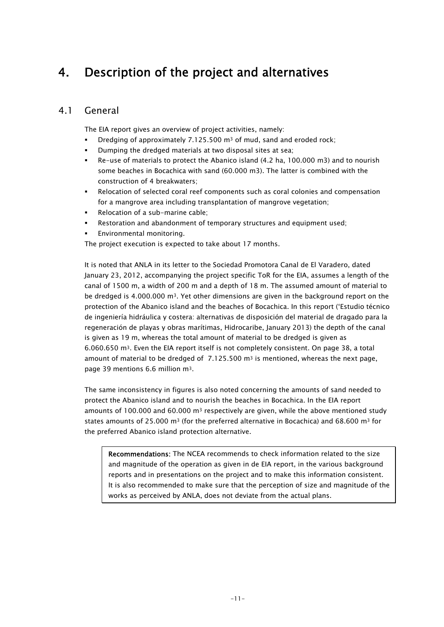## <span id="page-14-0"></span>4. Description of the project and alternatives

## <span id="page-14-1"></span>4.1 General

The EIA report gives an overview of project activities, namely:

- **Dredging of approximately 7.125.500 m<sup>3</sup> of mud, sand and eroded rock;**
- Dumping the dredged materials at two disposal sites at sea;
- Re-use of materials to protect the Abanico island (4.2 ha, 100.000 m3) and to nourish some beaches in Bocachica with sand (60.000 m3). The latter is combined with the construction of 4 breakwaters;
- Relocation of selected coral reef components such as coral colonies and compensation for a mangrove area including transplantation of mangrove vegetation;
- Relocation of a sub-marine cable;
- Restoration and abandonment of temporary structures and equipment used;
- Environmental monitoring.

The project execution is expected to take about 17 months.

It is noted that ANLA in its letter to the Sociedad Promotora Canal de El Varadero, dated January 23, 2012, accompanying the project specific ToR for the EIA, assumes a length of the canal of 1500 m, a width of 200 m and a depth of 18 m. The assumed amount of material to be dredged is 4.000.000  $\text{m}^3$ . Yet other dimensions are given in the background report on the protection of the Abanico island and the beaches of Bocachica. In this report ('Estudio técnico de ingeniería hidráulica y costera: alternativas de disposición del material de dragado para la regeneración de playas y obras marítimas, Hidrocaribe, January 2013) the depth of the canal is given as 19 m, whereas the total amount of material to be dredged is given as 6.060.650 m3. Even the EIA report itself is not completely consistent. On page 38, a total amount of material to be dredged of  $7.125.500$  m<sup>3</sup> is mentioned, whereas the next page, page 39 mentions 6.6 million m3.

The same inconsistency in figures is also noted concerning the amounts of sand needed to protect the Abanico island and to nourish the beaches in Bocachica. In the EIA report amounts of 100.000 and 60.000  $m^3$  respectively are given, while the above mentioned study states amounts of 25.000 m<sup>3</sup> (for the preferred alternative in Bocachica) and 68.600 m<sup>3</sup> for the preferred Abanico island protection alternative.

Recommendations: The NCEA recommends to check information related to the size and magnitude of the operation as given in de EIA report, in the various background reports and in presentations on the project and to make this information consistent. It is also recommended to make sure that the perception of size and magnitude of the works as perceived by ANLA, does not deviate from the actual plans.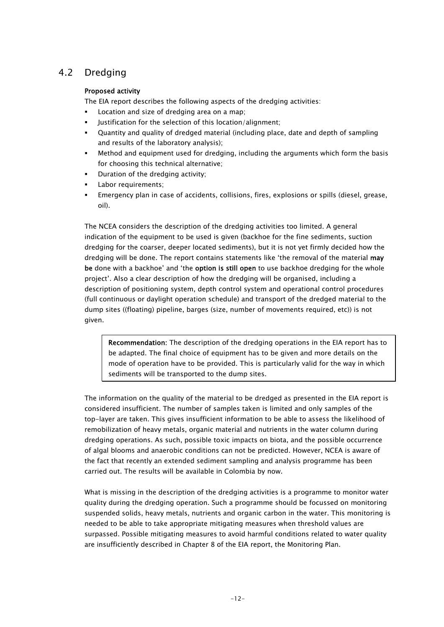## <span id="page-15-0"></span>4.2 Dredging

#### Proposed activity

The EIA report describes the following aspects of the dredging activities:

- Location and size of dredging area on a map;
- Justification for the selection of this location/alignment;
- Quantity and quality of dredged material (including place, date and depth of sampling and results of the laboratory analysis);
- Method and equipment used for dredging, including the arguments which form the basis for choosing this technical alternative;
- Duration of the dredging activity;
- Labor requirements;
- Emergency plan in case of accidents, collisions, fires, explosions or spills (diesel, grease, oil).

The NCEA considers the description of the dredging activities too limited. A general indication of the equipment to be used is given (backhoe for the fine sediments, suction dredging for the coarser, deeper located sediments), but it is not yet firmly decided how the dredging will be done. The report contains statements like 'the removal of the material may be done with a backhoe' and 'the option is still open to use backhoe dredging for the whole project'. Also a clear description of how the dredging will be organised, including a description of positioning system, depth control system and operational control procedures (full continuous or daylight operation schedule) and transport of the dredged material to the dump sites ((floating) pipeline, barges (size, number of movements required, etc)) is not given.

Recommendation: The description of the dredging operations in the EIA report has to be adapted. The final choice of equipment has to be given and more details on the mode of operation have to be provided. This is particularly valid for the way in which sediments will be transported to the dump sites.

The information on the quality of the material to be dredged as presented in the EIA report is considered insufficient. The number of samples taken is limited and only samples of the top-layer are taken. This gives insufficient information to be able to assess the likelihood of remobilization of heavy metals, organic material and nutrients in the water column during dredging operations. As such, possible toxic impacts on biota, and the possible occurrence of algal blooms and anaerobic conditions can not be predicted. However, NCEA is aware of the fact that recently an extended sediment sampling and analysis programme has been carried out. The results will be available in Colombia by now.

What is missing in the description of the dredging activities is a programme to monitor water quality during the dredging operation. Such a programme should be focussed on monitoring suspended solids, heavy metals, nutrients and organic carbon in the water. This monitoring is needed to be able to take appropriate mitigating measures when threshold values are surpassed. Possible mitigating measures to avoid harmful conditions related to water quality are insufficiently described in Chapter 8 of the EIA report, the Monitoring Plan.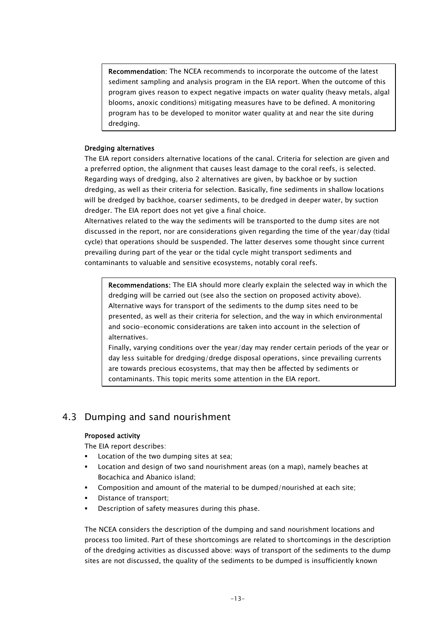Recommendation: The NCEA recommends to incorporate the outcome of the latest sediment sampling and analysis program in the EIA report. When the outcome of this program gives reason to expect negative impacts on water quality (heavy metals, algal blooms, anoxic conditions) mitigating measures have to be defined. A monitoring program has to be developed to monitor water quality at and near the site during dredging.

#### Dredging alternatives

The EIA report considers alternative locations of the canal. Criteria for selection are given and a preferred option, the alignment that causes least damage to the coral reefs, is selected. Regarding ways of dredging, also 2 alternatives are given, by backhoe or by suction dredging, as well as their criteria for selection. Basically, fine sediments in shallow locations will be dredged by backhoe, coarser sediments, to be dredged in deeper water, by suction dredger. The EIA report does not yet give a final choice.

Alternatives related to the way the sediments will be transported to the dump sites are not discussed in the report, nor are considerations given regarding the time of the year/day (tidal cycle) that operations should be suspended. The latter deserves some thought since current prevailing during part of the year or the tidal cycle might transport sediments and contaminants to valuable and sensitive ecosystems, notably coral reefs.

Recommendations: The EIA should more clearly explain the selected way in which the dredging will be carried out (see also the section on proposed activity above). Alternative ways for transport of the sediments to the dump sites need to be presented, as well as their criteria for selection, and the way in which environmental and socio-economic considerations are taken into account in the selection of alternatives.

Finally, varying conditions over the year/day may render certain periods of the year or day less suitable for dredging/dredge disposal operations, since prevailing currents are towards precious ecosystems, that may then be affected by sediments or contaminants. This topic merits some attention in the EIA report.

## <span id="page-16-0"></span>4.3 Dumping and sand nourishment

#### Proposed activity

The EIA report describes:

- Location of the two dumping sites at sea;
- Location and design of two sand nourishment areas (on a map), namely beaches at Bocachica and Abanico island;
- Composition and amount of the material to be dumped/nourished at each site;
- Distance of transport;
- Description of safety measures during this phase.

The NCEA considers the description of the dumping and sand nourishment locations and process too limited. Part of these shortcomings are related to shortcomings in the description of the dredging activities as discussed above: ways of transport of the sediments to the dump sites are not discussed, the quality of the sediments to be dumped is insufficiently known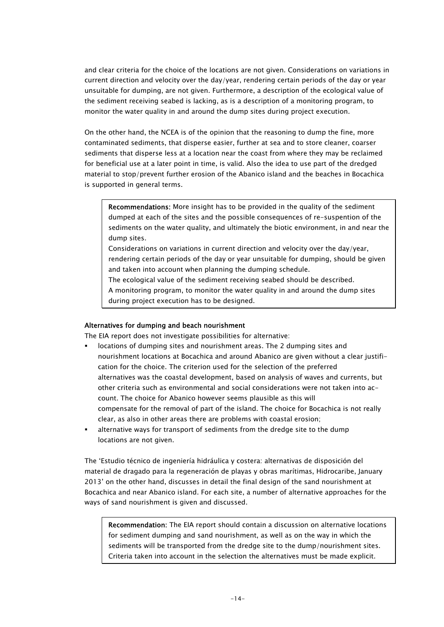and clear criteria for the choice of the locations are not given. Considerations on variations in current direction and velocity over the day/year, rendering certain periods of the day or year unsuitable for dumping, are not given. Furthermore, a description of the ecological value of the sediment receiving seabed is lacking, as is a description of a monitoring program, to monitor the water quality in and around the dump sites during project execution.

On the other hand, the NCEA is of the opinion that the reasoning to dump the fine, more contaminated sediments, that disperse easier, further at sea and to store cleaner, coarser sediments that disperse less at a location near the coast from where they may be reclaimed for beneficial use at a later point in time, is valid. Also the idea to use part of the dredged material to stop/prevent further erosion of the Abanico island and the beaches in Bocachica is supported in general terms.

Recommendations: More insight has to be provided in the quality of the sediment dumped at each of the sites and the possible consequences of re-suspention of the sediments on the water quality, and ultimately the biotic environment, in and near the dump sites.

Considerations on variations in current direction and velocity over the day/year, rendering certain periods of the day or year unsuitable for dumping, should be given and taken into account when planning the dumping schedule.

The ecological value of the sediment receiving seabed should be described. A monitoring program, to monitor the water quality in and around the dump sites

during project execution has to be designed.

#### Alternatives for dumping and beach nourishment

The EIA report does not investigate possibilities for alternative:

- locations of dumping sites and nourishment areas. The 2 dumping sites and nourishment locations at Bocachica and around Abanico are given without a clear justification for the choice. The criterion used for the selection of the preferred alternatives was the coastal development, based on analysis of waves and currents, but other criteria such as environmental and social considerations were not taken into account. The choice for Abanico however seems plausible as this will compensate for the removal of part of the island. The choice for Bocachica is not really clear, as also in other areas there are problems with coastal erosion;
- alternative ways for transport of sediments from the dredge site to the dump locations are not given.

The 'Estudio técnico de ingeniería hidráulica y costera: alternativas de disposición del material de dragado para la regeneración de playas y obras marítimas, Hidrocaribe, January 2013' on the other hand, discusses in detail the final design of the sand nourishment at Bocachica and near Abanico island. For each site, a number of alternative approaches for the ways of sand nourishment is given and discussed.

Recommendation: The EIA report should contain a discussion on alternative locations for sediment dumping and sand nourishment, as well as on the way in which the sediments will be transported from the dredge site to the dump/nourishment sites. Criteria taken into account in the selection the alternatives must be made explicit.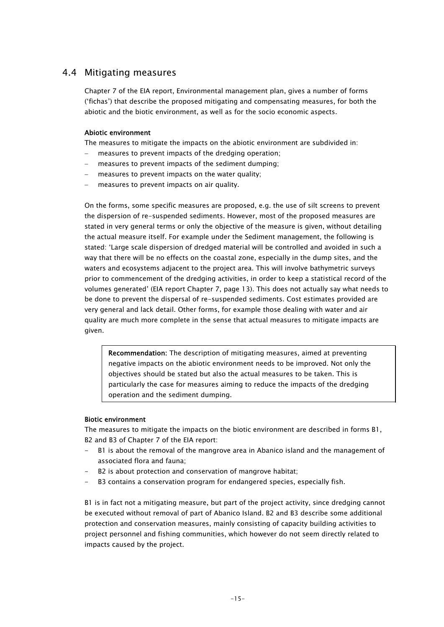#### <span id="page-18-0"></span>4.4 Mitigating measures

Chapter 7 of the EIA report, Environmental management plan, gives a number of forms ('fichas') that describe the proposed mitigating and compensating measures, for both the abiotic and the biotic environment, as well as for the socio economic aspects.

#### Abiotic environment

The measures to mitigate the impacts on the abiotic environment are subdivided in:

- measures to prevent impacts of the dredging operation;
- measures to prevent impacts of the sediment dumping;
- measures to prevent impacts on the water quality;
- measures to prevent impacts on air quality.

On the forms, some specific measures are proposed, e.g. the use of silt screens to prevent the dispersion of re-suspended sediments. However, most of the proposed measures are stated in very general terms or only the objective of the measure is given, without detailing the actual measure itself. For example under the Sediment management, the following is stated: 'Large scale dispersion of dredged material will be controlled and avoided in such a way that there will be no effects on the coastal zone, especially in the dump sites, and the waters and ecosystems adjacent to the project area. This will involve bathymetric surveys prior to commencement of the dredging activities, in order to keep a statistical record of the volumes generated' (EIA report Chapter 7, page 13). This does not actually say what needs to be done to prevent the dispersal of re-suspended sediments. Cost estimates provided are very general and lack detail. Other forms, for example those dealing with water and air quality are much more complete in the sense that actual measures to mitigate impacts are given.

Recommendation: The description of mitigating measures, aimed at preventing negative impacts on the abiotic environment needs to be improved. Not only the objectives should be stated but also the actual measures to be taken. This is particularly the case for measures aiming to reduce the impacts of the dredging operation and the sediment dumping.

#### Biotic environment

The measures to mitigate the impacts on the biotic environment are described in forms B1, B2 and B3 of Chapter 7 of the EIA report:

- B1 is about the removal of the mangrove area in Abanico island and the management of associated flora and fauna;
- B2 is about protection and conservation of mangrove habitat;
- B3 contains a conservation program for endangered species, especially fish.

B1 is in fact not a mitigating measure, but part of the project activity, since dredging cannot be executed without removal of part of Abanico Island. B2 and B3 describe some additional protection and conservation measures, mainly consisting of capacity building activities to project personnel and fishing communities, which however do not seem directly related to impacts caused by the project.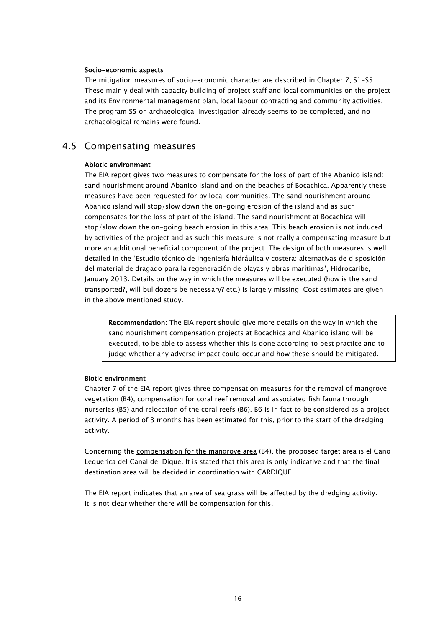#### Socio-economic aspects

The mitigation measures of socio-economic character are described in Chapter 7, S1-S5. These mainly deal with capacity building of project staff and local communities on the project and its Environmental management plan, local labour contracting and community activities. The program S5 on archaeological investigation already seems to be completed, and no archaeological remains were found.

### <span id="page-19-0"></span>4.5 Compensating measures

#### Abiotic environment

The EIA report gives two measures to compensate for the loss of part of the Abanico island: sand nourishment around Abanico island and on the beaches of Bocachica. Apparently these measures have been requested for by local communities. The sand nourishment around Abanico island will stop/slow down the on-going erosion of the island and as such compensates for the loss of part of the island. The sand nourishment at Bocachica will stop/slow down the on-going beach erosion in this area. This beach erosion is not induced by activities of the project and as such this measure is not really a compensating measure but more an additional beneficial component of the project. The design of both measures is well detailed in the 'Estudio técnico de ingeniería hidráulica y costera: alternativas de disposición del material de dragado para la regeneración de playas y obras marítimas', Hidrocaribe, January 2013. Details on the way in which the measures will be executed (how is the sand transported?, will bulldozers be necessary? etc.) is largely missing. Cost estimates are given in the above mentioned study.

Recommendation: The EIA report should give more details on the way in which the sand nourishment compensation projects at Bocachica and Abanico island will be executed, to be able to assess whether this is done according to best practice and to judge whether any adverse impact could occur and how these should be mitigated.

#### Biotic environment

Chapter 7 of the EIA report gives three compensation measures for the removal of mangrove vegetation (B4), compensation for coral reef removal and associated fish fauna through nurseries (B5) and relocation of the coral reefs (B6). B6 is in fact to be considered as a project activity. A period of 3 months has been estimated for this, prior to the start of the dredging activity.

Concerning the compensation for the mangrove area (B4), the proposed target area is el Caño Lequerica del Canal del Dique. It is stated that this area is only indicative and that the final destination area will be decided in coordination with CARDIQUE.

The EIA report indicates that an area of sea grass will be affected by the dredging activity. It is not clear whether there will be compensation for this.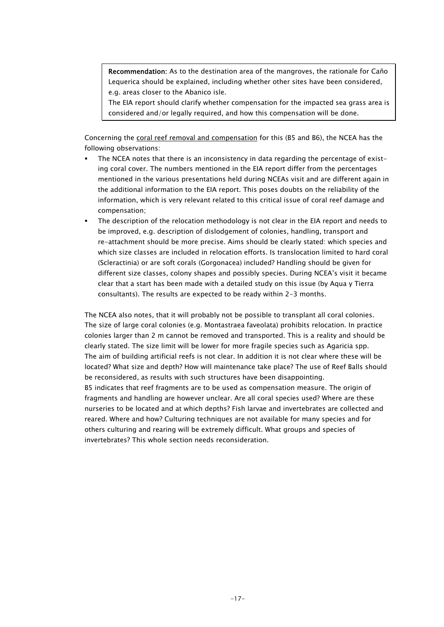Recommendation: As to the destination area of the mangroves, the rationale for Caño Lequerica should be explained, including whether other sites have been considered, e.g. areas closer to the Abanico isle.

The EIA report should clarify whether compensation for the impacted sea grass area is considered and/or legally required, and how this compensation will be done.

Concerning the coral reef removal and compensation for this (B5 and B6), the NCEA has the following observations:

- The NCEA notes that there is an inconsistency in data regarding the percentage of existing coral cover. The numbers mentioned in the EIA report differ from the percentages mentioned in the various presentations held during NCEAs visit and are different again in the additional information to the EIA report. This poses doubts on the reliability of the information, which is very relevant related to this critical issue of coral reef damage and compensation;
- The description of the relocation methodology is not clear in the EIA report and needs to be improved, e.g. description of dislodgement of colonies, handling, transport and re-attachment should be more precise. Aims should be clearly stated: which species and which size classes are included in relocation efforts. Is translocation limited to hard coral (Scleractinia) or are soft corals (Gorgonacea) included? Handling should be given for different size classes, colony shapes and possibly species. During NCEA's visit it became clear that a start has been made with a detailed study on this issue (by Aqua y Tierra consultants). The results are expected to be ready within 2-3 months.

The NCEA also notes, that it will probably not be possible to transplant all coral colonies. The size of large coral colonies (e.g. Montastraea faveolata) prohibits relocation. In practice colonies larger than 2 m cannot be removed and transported. This is a reality and should be clearly stated. The size limit will be lower for more fragile species such as Agaricia spp. The aim of building artificial reefs is not clear. In addition it is not clear where these will be located? What size and depth? How will maintenance take place? The use of Reef Balls should be reconsidered, as results with such structures have been disappointing. B5 indicates that reef fragments are to be used as compensation measure. The origin of fragments and handling are however unclear. Are all coral species used? Where are these nurseries to be located and at which depths? Fish larvae and invertebrates are collected and reared. Where and how? Culturing techniques are not available for many species and for others culturing and rearing will be extremely difficult. What groups and species of invertebrates? This whole section needs reconsideration.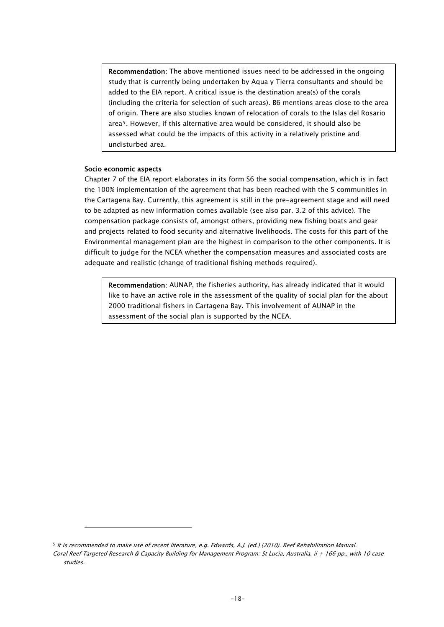Recommendation: The above mentioned issues need to be addressed in the ongoing study that is currently being undertaken by Aqua y Tierra consultants and should be added to the EIA report. A critical issue is the destination area(s) of the corals (including the criteria for selection of such areas). B6 mentions areas close to the area of origin. There are also studies known of relocation of corals to the Islas del Rosario area[5](#page-21-0). However, if this alternative area would be considered, it should also be assessed what could be the impacts of this activity in a relatively pristine and undisturbed area.

#### Socio economic aspects

 $\overline{a}$ 

Chapter 7 of the EIA report elaborates in its form S6 the social compensation, which is in fact the 100% implementation of the agreement that has been reached with the 5 communities in the Cartagena Bay. Currently, this agreement is still in the pre-agreement stage and will need to be adapted as new information comes available (see also par. 3.2 of this advice). The compensation package consists of, amongst others, providing new fishing boats and gear and projects related to food security and alternative livelihoods. The costs for this part of the Environmental management plan are the highest in comparison to the other components. It is difficult to judge for the NCEA whether the compensation measures and associated costs are adequate and realistic (change of traditional fishing methods required).

Recommendation: AUNAP, the fisheries authority, has already indicated that it would like to have an active role in the assessment of the quality of social plan for the about 2000 traditional fishers in Cartagena Bay. This involvement of AUNAP in the assessment of the social plan is supported by the NCEA.

<span id="page-21-0"></span><sup>5</sup> It is recommended to make use of recent literature, e.g. Edwards, A.J. (ed.) (2010). Reef Rehabilitation Manual. Coral Reef Targeted Research & Capacity Building for Management Program: St Lucia, Australia. ii + 166 pp., with 10 case studies.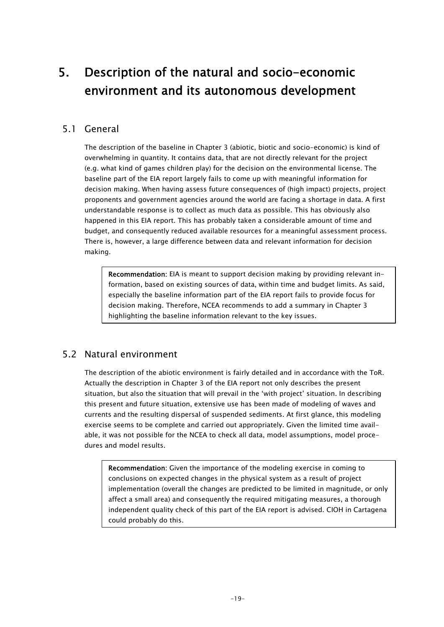## <span id="page-22-0"></span>5. Description of the natural and socio-economic environment and its autonomous development

## <span id="page-22-1"></span>5.1 General

The description of the baseline in Chapter 3 (abiotic, biotic and socio-economic) is kind of overwhelming in quantity. It contains data, that are not directly relevant for the project (e.g. what kind of games children play) for the decision on the environmental license. The baseline part of the EIA report largely fails to come up with meaningful information for decision making. When having assess future consequences of (high impact) projects, project proponents and government agencies around the world are facing a shortage in data. A first understandable response is to collect as much data as possible. This has obviously also happened in this EIA report. This has probably taken a considerable amount of time and budget, and consequently reduced available resources for a meaningful assessment process. There is, however, a large difference between data and relevant information for decision making.

Recommendation: EIA is meant to support decision making by providing relevant information, based on existing sources of data, within time and budget limits. As said, especially the baseline information part of the EIA report fails to provide focus for decision making. Therefore, NCEA recommends to add a summary in Chapter 3 highlighting the baseline information relevant to the key issues.

## <span id="page-22-2"></span>5.2 Natural environment

The description of the abiotic environment is fairly detailed and in accordance with the ToR. Actually the description in Chapter 3 of the EIA report not only describes the present situation, but also the situation that will prevail in the 'with project' situation. In describing this present and future situation, extensive use has been made of modeling of waves and currents and the resulting dispersal of suspended sediments. At first glance, this modeling exercise seems to be complete and carried out appropriately. Given the limited time available, it was not possible for the NCEA to check all data, model assumptions, model procedures and model results.

Recommendation: Given the importance of the modeling exercise in coming to conclusions on expected changes in the physical system as a result of project implementation (overall the changes are predicted to be limited in magnitude, or only affect a small area) and consequently the required mitigating measures, a thorough independent quality check of this part of the EIA report is advised. CIOH in Cartagena could probably do this.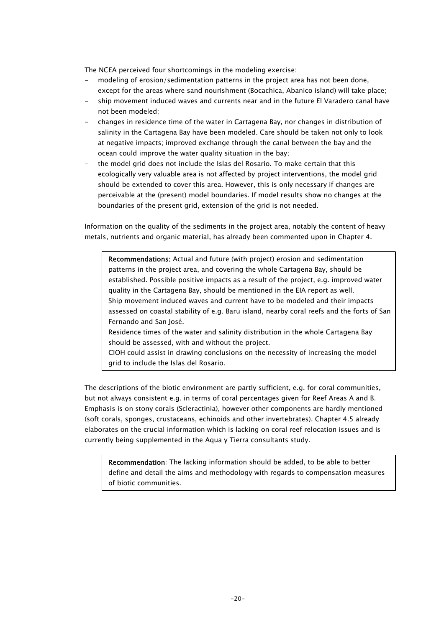The NCEA perceived four shortcomings in the modeling exercise:

- modeling of erosion/sedimentation patterns in the project area has not been done, except for the areas where sand nourishment (Bocachica, Abanico island) will take place;
- ship movement induced waves and currents near and in the future El Varadero canal have not been modeled;
- changes in residence time of the water in Cartagena Bay, nor changes in distribution of salinity in the Cartagena Bay have been modeled. Care should be taken not only to look at negative impacts; improved exchange through the canal between the bay and the ocean could improve the water quality situation in the bay;
- the model grid does not include the Islas del Rosario. To make certain that this ecologically very valuable area is not affected by project interventions, the model grid should be extended to cover this area. However, this is only necessary if changes are perceivable at the (present) model boundaries. If model results show no changes at the boundaries of the present grid, extension of the grid is not needed.

Information on the quality of the sediments in the project area, notably the content of heavy metals, nutrients and organic material, has already been commented upon in Chapter 4.

Recommendations: Actual and future (with project) erosion and sedimentation patterns in the project area, and covering the whole Cartagena Bay, should be established. Possible positive impacts as a result of the project, e.g. improved water quality in the Cartagena Bay, should be mentioned in the EIA report as well. Ship movement induced waves and current have to be modeled and their impacts assessed on coastal stability of e.g. Baru island, nearby coral reefs and the forts of San Fernando and San José.

Residence times of the water and salinity distribution in the whole Cartagena Bay should be assessed, with and without the project.

CIOH could assist in drawing conclusions on the necessity of increasing the model grid to include the Islas del Rosario.

The descriptions of the biotic environment are partly sufficient, e.g. for coral communities, but not always consistent e.g. in terms of coral percentages given for Reef Areas A and B. Emphasis is on stony corals (Scleractinia), however other components are hardly mentioned (soft corals, sponges, crustaceans, echinoids and other invertebrates). Chapter 4.5 already elaborates on the crucial information which is lacking on coral reef relocation issues and is currently being supplemented in the Aqua y Tierra consultants study.

Recommendation: The lacking information should be added, to be able to better define and detail the aims and methodology with regards to compensation measures of biotic communities.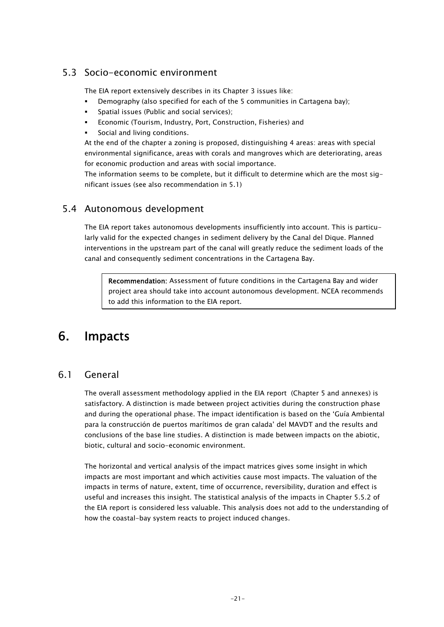## <span id="page-24-0"></span>5.3 Socio-economic environment

The EIA report extensively describes in its Chapter 3 issues like:

- Demography (also specified for each of the 5 communities in Cartagena bay);
- Spatial issues (Public and social services);
- Economic (Tourism, Industry, Port, Construction, Fisheries) and
- Social and living conditions.

At the end of the chapter a zoning is proposed, distinguishing 4 areas: areas with special environmental significance, areas with corals and mangroves which are deteriorating, areas for economic production and areas with social importance.

The information seems to be complete, but it difficult to determine which are the most significant issues (see also recommendation in 5.1)

### <span id="page-24-1"></span>5.4 Autonomous development

The EIA report takes autonomous developments insufficiently into account. This is particularly valid for the expected changes in sediment delivery by the Canal del Dique. Planned interventions in the upstream part of the canal will greatly reduce the sediment loads of the canal and consequently sediment concentrations in the Cartagena Bay.

Recommendation: Assessment of future conditions in the Cartagena Bay and wider project area should take into account autonomous development. NCEA recommends to add this information to the EIA report.

## <span id="page-24-2"></span>6. Impacts

## <span id="page-24-3"></span>6.1 General

The overall assessment methodology applied in the EIA report (Chapter 5 and annexes) is satisfactory. A distinction is made between project activities during the construction phase and during the operational phase. The impact identification is based on the 'Guía Ambiental para la construcción de puertos marítimos de gran calada' del MAVDT and the results and conclusions of the base line studies. A distinction is made between impacts on the abiotic, biotic, cultural and socio-economic environment.

The horizontal and vertical analysis of the impact matrices gives some insight in which impacts are most important and which activities cause most impacts. The valuation of the impacts in terms of nature, extent, time of occurrence, reversibility, duration and effect is useful and increases this insight. The statistical analysis of the impacts in Chapter 5.5.2 of the EIA report is considered less valuable. This analysis does not add to the understanding of how the coastal-bay system reacts to project induced changes.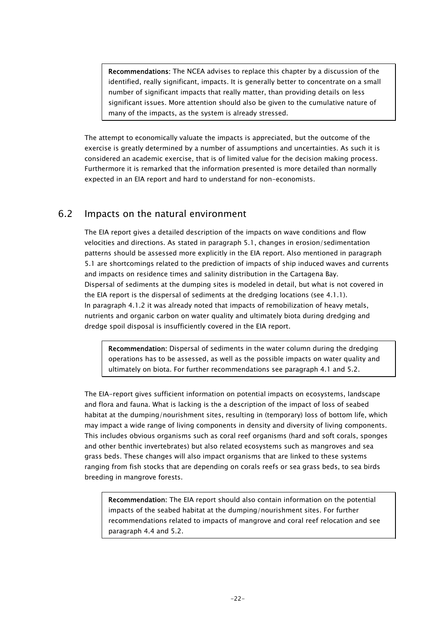Recommendations: The NCEA advises to replace this chapter by a discussion of the identified, really significant, impacts. It is generally better to concentrate on a small number of significant impacts that really matter, than providing details on less significant issues. More attention should also be given to the cumulative nature of many of the impacts, as the system is already stressed.

The attempt to economically valuate the impacts is appreciated, but the outcome of the exercise is greatly determined by a number of assumptions and uncertainties. As such it is considered an academic exercise, that is of limited value for the decision making process. Furthermore it is remarked that the information presented is more detailed than normally expected in an EIA report and hard to understand for non-economists.

## <span id="page-25-0"></span>6.2 Impacts on the natural environment

The EIA report gives a detailed description of the impacts on wave conditions and flow velocities and directions. As stated in paragraph 5.1, changes in erosion/sedimentation patterns should be assessed more explicitly in the EIA report. Also mentioned in paragraph 5.1 are shortcomings related to the prediction of impacts of ship induced waves and currents and impacts on residence times and salinity distribution in the Cartagena Bay. Dispersal of sediments at the dumping sites is modeled in detail, but what is not covered in the EIA report is the dispersal of sediments at the dredging locations (see 4.1.1). In paragraph 4.1.2 it was already noted that impacts of remobilization of heavy metals, nutrients and organic carbon on water quality and ultimately biota during dredging and dredge spoil disposal is insufficiently covered in the EIA report.

Recommendation: Dispersal of sediments in the water column during the dredging operations has to be assessed, as well as the possible impacts on water quality and ultimately on biota. For further recommendations see paragraph 4.1 and 5.2.

The EIA-report gives sufficient information on potential impacts on ecosystems, landscape and flora and fauna. What is lacking is the a description of the impact of loss of seabed habitat at the dumping/nourishment sites, resulting in (temporary) loss of bottom life, which may impact a wide range of living components in density and diversity of living components. This includes obvious organisms such as coral reef organisms (hard and soft corals, sponges and other benthic invertebrates) but also related ecosystems such as mangroves and sea grass beds. These changes will also impact organisms that are linked to these systems ranging from fish stocks that are depending on corals reefs or sea grass beds, to sea birds breeding in mangrove forests.

Recommendation: The EIA report should also contain information on the potential impacts of the seabed habitat at the dumping/nourishment sites. For further recommendations related to impacts of mangrove and coral reef relocation and see paragraph 4.4 and 5.2.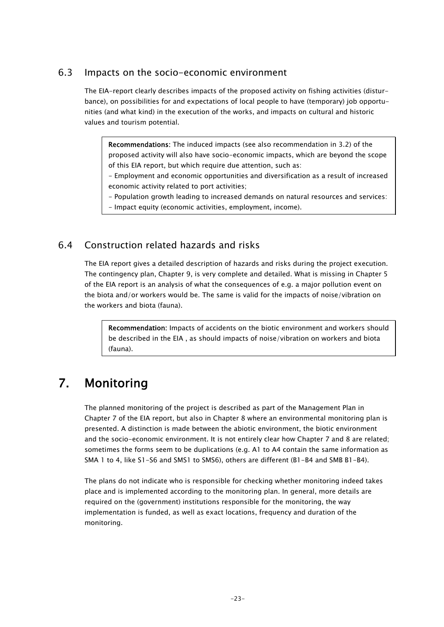### <span id="page-26-0"></span>6.3 Impacts on the socio-economic environment

The EIA-report clearly describes impacts of the proposed activity on fishing activities (disturbance), on possibilities for and expectations of local people to have (temporary) job opportunities (and what kind) in the execution of the works, and impacts on cultural and historic values and tourism potential.

Recommendations: The induced impacts (see also recommendation in 3.2) of the proposed activity will also have socio-economic impacts, which are beyond the scope of this EIA report, but which require due attention, such as:

- Employment and economic opportunities and diversification as a result of increased economic activity related to port activities;

- Population growth leading to increased demands on natural resources and services:

- Impact equity (economic activities, employment, income).

### <span id="page-26-1"></span>6.4 Construction related hazards and risks

The EIA report gives a detailed description of hazards and risks during the project execution. The contingency plan, Chapter 9, is very complete and detailed. What is missing in Chapter 5 of the EIA report is an analysis of what the consequences of e.g. a major pollution event on the biota and/or workers would be. The same is valid for the impacts of noise/vibration on the workers and biota (fauna).

Recommendation: Impacts of accidents on the biotic environment and workers should be described in the EIA , as should impacts of noise/vibration on workers and biota (fauna).

## <span id="page-26-2"></span>7. Monitoring

The planned monitoring of the project is described as part of the Management Plan in Chapter 7 of the EIA report, but also in Chapter 8 where an environmental monitoring plan is presented. A distinction is made between the abiotic environment, the biotic environment and the socio-economic environment. It is not entirely clear how Chapter 7 and 8 are related; sometimes the forms seem to be duplications (e.g. A1 to A4 contain the same information as SMA 1 to 4, like S1-S6 and SMS1 to SMS6), others are different (B1-B4 and SMB B1-B4).

The plans do not indicate who is responsible for checking whether monitoring indeed takes place and is implemented according to the monitoring plan. In general, more details are required on the (government) institutions responsible for the monitoring, the way implementation is funded, as well as exact locations, frequency and duration of the monitoring.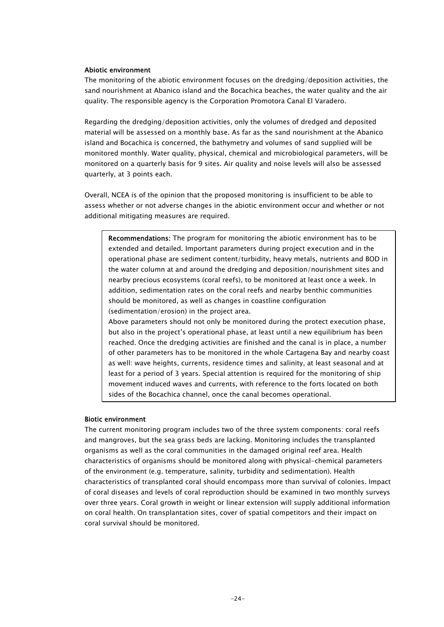#### Abiotic environment

The monitoring of the abiotic environment focuses on the dredging/deposition activities, the sand nourishment at Abanico island and the Bocachica beaches, the water quality and the air quality. The responsible agency is the Corporation Promotora Canal El Varadero.

Regarding the dredging/deposition activities, only the volumes of dredged and deposited material will be assessed on a monthly base. As far as the sand nourishment at the Abanico island and Bocachica is concerned, the bathymetry and volumes of sand supplied will be monitored monthly. Water quality, physical, chemical and microbiological parameters, will be monitored on a quarterly basis for 9 sites. Air quality and noise levels will also be assessed quarterly, at 3 points each.

Overall, NCEA is of the opinion that the proposed monitoring is insufficient to be able to assess whether or not adverse changes in the abiotic environment occur and whether or not additional mitigating measures are required.

Recommendations: The program for monitoring the abiotic environment has to be extended and detailed. Important parameters during project execution and in the operational phase are sediment content/turbidity, heavy metals, nutrients and BOD in the water column at and around the dredging and deposition/nourishment sites and nearby precious ecosystems (coral reefs), to be monitored at least once a week. In addition, sedimentation rates on the coral reefs and nearby benthic communities should be monitored, as well as changes in coastline configuration (sedimentation/erosion) in the project area.

Above parameters should not only be monitored during the protect execution phase, but also in the project's operational phase, at least until a new equilibrium has been reached. Once the dredging activities are finished and the canal is in place, a number of other parameters has to be monitored in the whole Cartagena Bay and nearby coast as well: wave heights, currents, residence times and salinity, at least seasonal and at least for a period of 3 years. Special attention is required for the monitoring of ship movement induced waves and currents, with reference to the forts located on both sides of the Bocachica channel, once the canal becomes operational.

#### Biotic environment

The current monitoring program includes two of the three system components: coral reefs and mangroves, but the sea grass beds are lacking. Monitoring includes the transplanted organisms as well as the coral communities in the damaged original reef area. Health characteristics of organisms should be monitored along with physical-chemical parameters of the environment (e.g. temperature, salinity, turbidity and sedimentation). Health characteristics of transplanted coral should encompass more than survival of colonies. Impact of coral diseases and levels of coral reproduction should be examined in two monthly surveys over three years. Coral growth in weight or linear extension will supply additional information on coral health. On transplantation sites, cover of spatial competitors and their impact on coral survival should be monitored.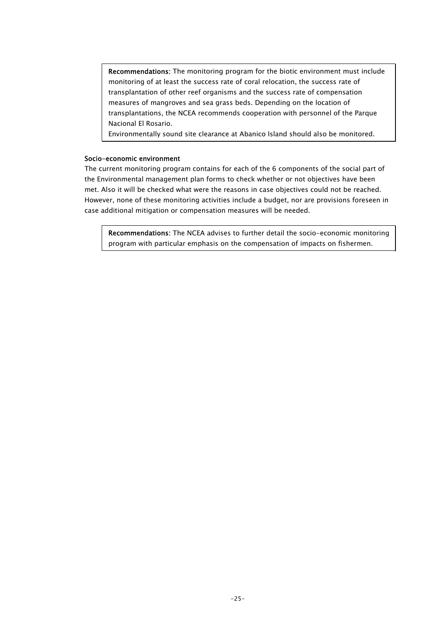Recommendations: The monitoring program for the biotic environment must include monitoring of at least the success rate of coral relocation, the success rate of transplantation of other reef organisms and the success rate of compensation measures of mangroves and sea grass beds. Depending on the location of transplantations, the NCEA recommends cooperation with personnel of the Parque Nacional El Rosario.

Environmentally sound site clearance at Abanico Island should also be monitored.

#### Socio-economic environment

The current monitoring program contains for each of the 6 components of the social part of the Environmental management plan forms to check whether or not objectives have been met. Also it will be checked what were the reasons in case objectives could not be reached. However, none of these monitoring activities include a budget, nor are provisions foreseen in case additional mitigation or compensation measures will be needed.

Recommendations: The NCEA advises to further detail the socio-economic monitoring program with particular emphasis on the compensation of impacts on fishermen.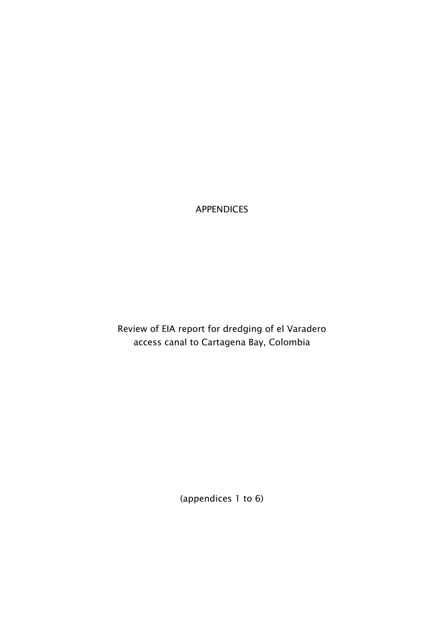APPENDICES

Review of EIA report for dredging of el Varadero access canal to Cartagena Bay, Colombia

(appendices 1 to 6)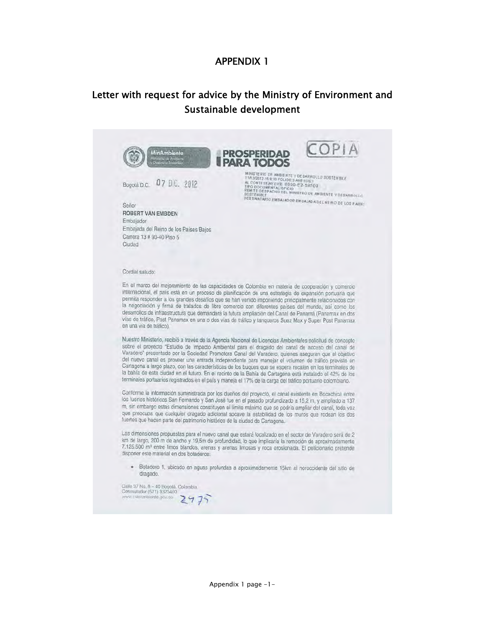## Letter with request for advice by the Ministry of Environment and Sustainable development

| no da A                                                                     | PROSPERIDAD<br><b>PARA TODOS</b>                                                                                                                                                                                                                                                                                                                                                                                                                                                                                                                                                                                                                                                                                                                                     |
|-----------------------------------------------------------------------------|----------------------------------------------------------------------------------------------------------------------------------------------------------------------------------------------------------------------------------------------------------------------------------------------------------------------------------------------------------------------------------------------------------------------------------------------------------------------------------------------------------------------------------------------------------------------------------------------------------------------------------------------------------------------------------------------------------------------------------------------------------------------|
| Bogotá D.C. 07 DIC. 2012                                                    | MINISTERIO DE AMBIENTE Y DESARROLLO SOSTENIBLE<br>11/12/2012 16:9:30 FOLIOS:3 ANE XOS 1<br>AL CONTESTAR CITE 8000-E2-59509<br>TIPO DOCUMENTAL OFICIO<br>REMITÉ DESPACHO DEL MINISTRO DE AMBIENTE Y DESARROLLO<br>DESTINATARIO EMBAJADOR EMBAJADA DEL REINO DE LOS PAISEI                                                                                                                                                                                                                                                                                                                                                                                                                                                                                             |
| Señor                                                                       |                                                                                                                                                                                                                                                                                                                                                                                                                                                                                                                                                                                                                                                                                                                                                                      |
| ROBERT VAN EMBDEN<br>Embajador                                              |                                                                                                                                                                                                                                                                                                                                                                                                                                                                                                                                                                                                                                                                                                                                                                      |
| Embajada del Reino de los Países Bajos                                      |                                                                                                                                                                                                                                                                                                                                                                                                                                                                                                                                                                                                                                                                                                                                                                      |
| Carrera 13 # 93-40 Piso 5<br>Ciudad                                         |                                                                                                                                                                                                                                                                                                                                                                                                                                                                                                                                                                                                                                                                                                                                                                      |
|                                                                             |                                                                                                                                                                                                                                                                                                                                                                                                                                                                                                                                                                                                                                                                                                                                                                      |
| Cordial saludo:                                                             |                                                                                                                                                                                                                                                                                                                                                                                                                                                                                                                                                                                                                                                                                                                                                                      |
|                                                                             |                                                                                                                                                                                                                                                                                                                                                                                                                                                                                                                                                                                                                                                                                                                                                                      |
| en una via de tráfico).                                                     | internacional, el país está en un proceso de planificación de una estrategia de expansión portuaria que<br>permita responder a los grandes desafios que se han venido imponiendo principalmente relacionados con<br>la negociación y firma de tratados de libre comercio con diferentes países del mundo, así como los<br>desarrollos de infraestructura que demandará la futura ampliación del Canal de Panamá (Panamax en dos<br>vias de tráfico, Post Panamax en una o dos vías de tráfico y tanqueros Suez Max y Super Post Panamax                                                                                                                                                                                                                              |
|                                                                             | Nuestro Ministerio, recibió a través de la Agencia Nacional de Licencias Ambientales solicitud de concepto<br>sobre el proyecto "Estudio de Impacto Ambiental para el dragado del canal de acceso del canal de<br>Varadero" presentado por la Sociedad Promotora Canal del Varadero, quienes aseguran que el objetivo<br>del nuevo canal es proveer una entrada independiente para manejar el volumen de tráfico previsto en<br>Cartagena a largo plazo, con las características de los buques que se espera recalen en los terminales de<br>la bahía de esta ciudad en el futuro. En el recinto de la Bahía de Cartagena está instalado el 42% de los<br>terminales portuarios registrados en el país y maneja el 17% de la carga del tráfico portuario colombiano. |
|                                                                             | Conforme la información suministrada por los dueños del proyecto, el canal existente en Bocachica entre<br>los fuertes históricos San Fernando y San José fue en el pasado profundizado a 15,2 m, y ampliado a 137<br>m, sin embargo estas dimensiones constituyen el límite máximo que se podría ampliar del canal, toda vez<br>que preocupa que cualquier dragado adicional socave la estabilidad de los muros que rodean los dos                                                                                                                                                                                                                                                                                                                                  |
| fuertes que hacen parte del patrimonio histórico de la ciudad de Cartagena. |                                                                                                                                                                                                                                                                                                                                                                                                                                                                                                                                                                                                                                                                                                                                                                      |
| disponer este material en dos botaderos:                                    | Las dimensiones propuestas para el nuevo canal que estará localizado en el sector de Varadero será de 2<br>km de largo, 200 m de ancho y 19,5m de profundidad, lo que implicaria la remoción de aproximadamente<br>7.125.500 m <sup>3</sup> entre limos blandos, arenas y arenas limosas y roca erosionada. El peticionario pretende                                                                                                                                                                                                                                                                                                                                                                                                                                 |
| dragado.                                                                    | · Botadero 1, ubicado en aguas profundas a aproximadamente 15km al noroccidente del sitio de                                                                                                                                                                                                                                                                                                                                                                                                                                                                                                                                                                                                                                                                         |
|                                                                             |                                                                                                                                                                                                                                                                                                                                                                                                                                                                                                                                                                                                                                                                                                                                                                      |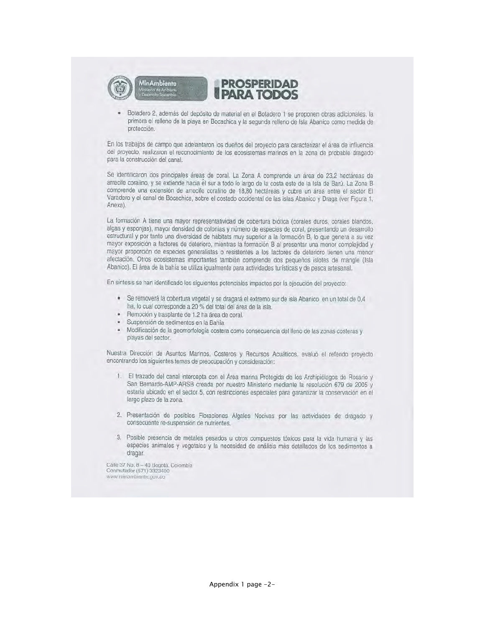

Botadero 2, además del depósito de material en el Botadero 1 se proponen obras adicionales, la primera el relleno de la playa en Bocachica y la segunda relleno de Isla Abanico como medida de protección.

En los trabajos de campo que adelantaron los dueños del proyecto para caracterizar el área de influencia del proyecto, realizaron el reconocimiento de los ecosistemas marinos en la zona de probable dragado para la construcción del canal.

Se identificaron dos principales áreas de coral. La Zona A comprende un área de 23,2 hectáreas de arrecife coralino, y se extiende hacia el sur a todo lo largo de la costa este de la Isla de Barú. La Zona B comprende una extensión de arrecife coralino de 18,80 hectáreas y cubre un área entre el sector El Varadero y el canal de Bocachica, sobre el costado occidental de las islas Abanico y Draga (ver Figura 1, Anexa).

La formación A tiene una mayor representatividad de cobertura biótica (corales duros, corales blandos, algas y esponjas), mayor densidad de colonias y número de especies de coral, presentando un desarrollo estructural y por tanto una diversidad de hábitats muy superior a la formación B, lo que genera a su vez mayor exposición a factores de deterioro, mientras la formación B al presentar una menor complejidad y mayor proporción de especies generalistas o resistentes a los factores de deterioro tienen una menor afectación. Otros ecosistemas importantes también comprende dos pequeños islotes de mangle (Isla Abanico). El área de la bahía se utiliza igualmente para actividades turísticas y de pesca artesanal.

En síntesis se han identificado los siguientes potenciales impactos por la ejecución del proyecto:

- · Se removerá la cobertura vegetal y se dragará el extremo sur de isla Abanico en un total de 0,4 ha, lo cual corresponde a 20 % del total del área de la isla.
- Remoción y trasplante de 1.2 ha área de coral.  $\alpha$
- Suspensión de sedimentos en la Bahía  $\bullet$
- Modificación de la geomorfología costera como consecuencia del lleno de las zonas costeras y playas del sector.

Nuestra Dirección de Asuntos Marinos, Costeros y Recursos Acuáticos, evaluó el referido proyecto encontrando los siguientes temas de preocupación y consideración:

- 1. El trazado del canal intercepta con el Área marina Protegida de los Archipiélagos de Rosario y San Bernardo-AMP-ARSB creada por nuestro Ministerio mediante la resolución 679 de 2005 y estaría ubicado en el sector 5, con restricciones especiales para garantizar la conservación en el largo plazo de la zona.
- 2. Presentación de posibles Floraciones Algales Nocivas por las actividades de dragado y consecuente re-suspensión de nutrientes.
- 3. Posible presencia de metales pesados u otros compuestos tóxicos para la vida humana y las especies animales y vegetales y la necesidad de análisis más detallados de los sedimentos a dragar.

Calle 37 No. 8 - 40 Bogotá, Colombia Conmutador (571) 3323400 www.minambiente.gov.co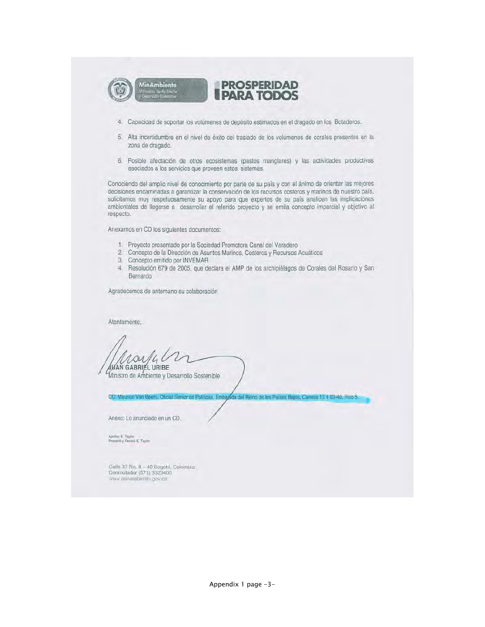

- 4. Capacidad de soportar los volúmenes de depósito estimados en el dragado en los Botaderos.
- 5. Alta incertidumbre en el nivel de éxito del traslado de los volúmenes de corales presentes en la zona de dragado.
- 6. Posible afectación de otros ecosistemas (pastos manglares) y las actividades productivas asociados a los servicios que proveen estos sistemas.

Conociendo del amplio nivel de conocimiento por parte de su país y con el ánimo de orientar las mejores decisiones encaminadas a garantizar la conservación de los recursos costeros y marinos de nuestro país, solicitamos muy respetuosamente su apoyo para que expertos de su país analicen las implicaciones ambientales de llegarse a desarrollar el referido proyecto y se emita concepto imparcial y objetivo al respecto.

Anexamos en CD los siguientes documentos:

- 1. Proyecto presentado por la Sociedad Promotora Canal del Varadero
- 2. Concepto de la Dirección de Asuntos Marinos, Costeros y Recursos Acuáticos
- 3. Concepto emitido por INVEMAR
- 4. Resolución 679 de 2005, que declara el AMP de los archipiélagos de Corales del Rosario y San Bernardo

Agradecemos de antemano su colaboración

Atentamente,

**JUAN GABRIEL URIBE** 

Ministro de Ambiente y Desarrollo Sostenible

CC: Maurice Van Beers, Oficial Senior de Políticas, Embajeda del Reino de los Países Bajos, Carrera 13 # 93-40, Piso 5.

Anexo: Lo anunciado en un CD.

Aprobó: E. Taylor<br>Proyectó y Revisó: E. Taylor

Calle 37 No. 8 - 40 Bogotá, Colombia<br>Conmutador (571) 3323400 www.minambiente.gov.co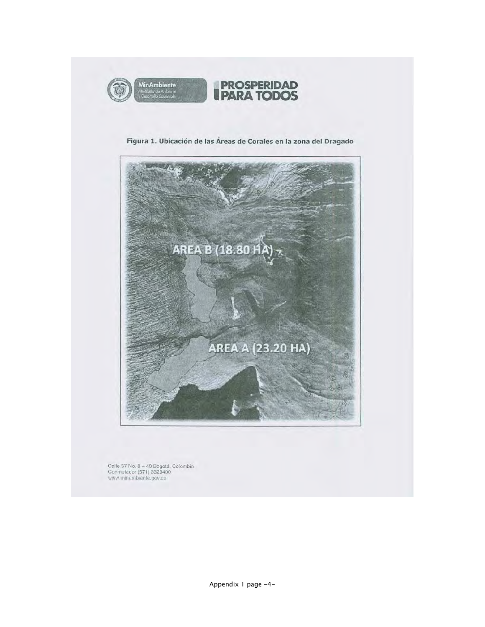





Calle 37 No. 8 – 40 Bogotá, Colombia<br>Conmutador (571) 3323400<br>www.minambiente.gov.co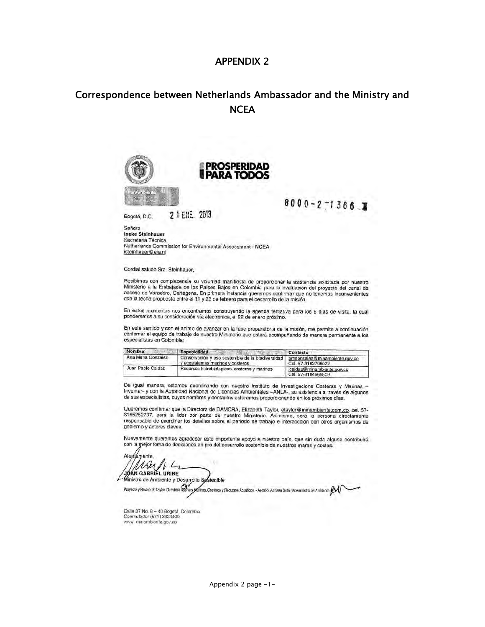## Correspondence between Netherlands Ambassador and the Ministry and **NCEA**



Aleg támente MALIC Ministro de Ambiente y Desarrollo Sestenible

Proyecto y Revisó: E.Taylor, Directora Asunt s Marinos, Costeros y Flecursos Acuáticos - Aprobó: Adriana Soto, Viceministra de Ambiente DA

Calle 37 No. 8 - 40 Bogotá, Colombia<br>Conmutador (571) 3323400 www. minambiente.gov.co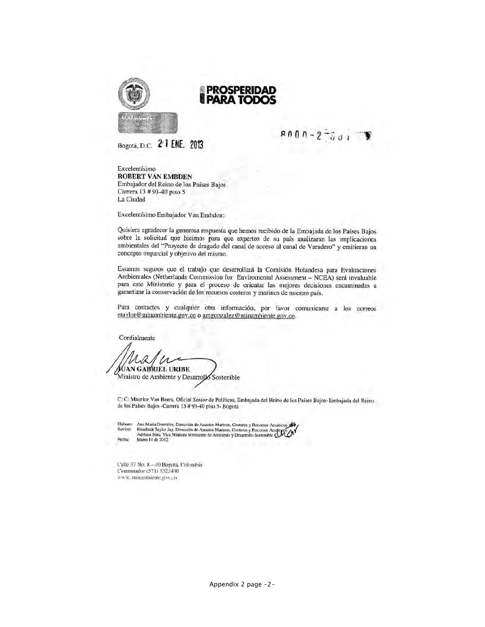

#### PROSPERIDAD **PARA TODC**

Bogotá, D.C. 2 1 ENE. 2013

 $9000 - 2 - 301$ 

Excelentísimo **ROBERT VAN EMBDEN** Embajador del Reino de los Países Bajos Carrera 13 # 93-40 piso 5 La Ciudad

Excelentísimo Embajador Van Embden:

Quisiera agradecer la generosa respuesta que hemos recibido de la Embajada de los Países Bajos sobre la solicitud que hicimos para que expertos de su país analizaran las implicaciones ambientales del "Proyecto de dragado del canal de acceso al canal de Varadero" y emitieran un concepto imparcial y objetivo del mismo.

Estamos seguros que el trabajo que desarrollará la Comisión Holandesa para Evaluaciones Ambientales (Netherlands Commission for Enviromental Assessment - NCEA) será invaluable para este Ministerio y para el proceso de orientar las mejores decisiones encaminadas a garantizar la conservación de los recursos costeros y marinos de nuestro país.

Para contactos y cualquier otra información, por favor comunicarse a los correos etaylor@minambiente.gov.co o amgonzalez@minambiente.gov.co.

Cordialmente WAN GABRIEL URIBE Ministro de Ambiente y Desarrollo Sostenible

C: C: Maurice Van Beers, Oficial Senior de Políticas, Embajada del Reino de los Países Bajos-Embajada del Reino de los Países Bajos -Carrera 13 # 93-40 piso 5- Bogotá

Elaboro: Ana Maria Gonzalez, Dirección de Asuntos Marinos, Costeros y Recursos Acuáticos de Elizabeth Taylor Jay. Dirección de Asuntos Marinos, Costeros y Recursos Acuáticos.<br>Adriana Soto, Vice Ministra Ministerio de Ambiente y Desarrollo Sostenible CALL<br>Enero 14 de 2012 Reviso: Fecha:

Calle 37 No. 8 - 40 Bogota, Colombia Commutador (571) 3323400 www.minarabiente.gov.co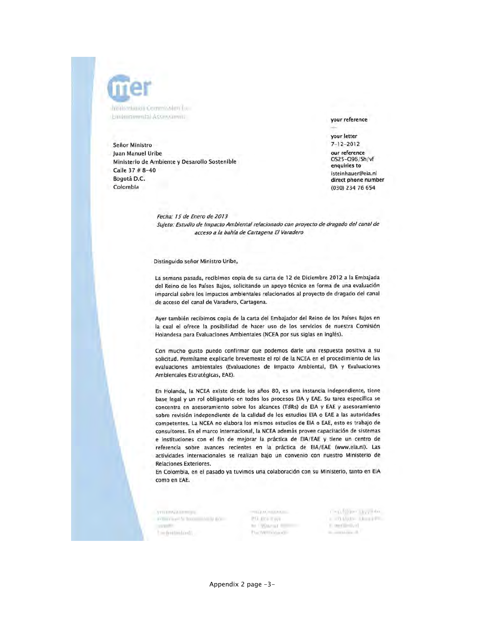

anotherlands Commission for Environmental Associamoti

Señor Ministro Juan Manuel Uribe Ministerio de Ambiente y Desarollo Sostenible Calle 37 # 8-40 Bogotá D.C. Colombia

your reference

your letter  $7 - 12 - 2012$ our reference 0525-096/Sh/vf enquiries to isteinhauer@eia.nl direct phone number (030) 234 76 654

Fecha: 15 de Enero de 2013 Suleto: Estudio de Impacto Ambiental relacionado con proyecto de dragado del canal de acceso a la bahía de Cartagena El Varadero

Distinguido señor Ministro Uribe,

La semana pasada, recibimos copia de su carta de 12 de Diciembre 2012 a la Embajada del Reino de los Países Bajos, solicitando un apoyo técnico en forma de una evaluación imparcial sobre los impactos ambientales relacionados al proyecto de dragado del canal de acceso del canal de Varadero, Cartagena.

Ayer también recibimos copia de la carta del Embajador del Reino de los Países Bajos en la cual el ofrece la posibilidad de hacer uso de los servicios de nuestra Comisión Holandesa para Evaluaciones Ambientales (NCEA por sus siglas en inglés).

Con mucho gusto puedo confirmar que podemos darle una respuesta positiva a su solicitud. Permítame explicarle brevemente el rol de la NCEA en el procedimiento de las evaluaciones ambientales (Evaluaciones de Impacto Ambiental, EIA y Evaluaciones Ambientales Estratégicas, EAE).

En Holanda, la NCEA existe desde los años 80, es una instancia independiente, tiene base legal y un rol obligatorio en todos los procesos EIA y EAE. Su tarea específica se concentra en asesoramiento sobre los alcances (TdRs) de EIA y EAE y asesoramiento sobre revisión independiente de la calidad de los estudios EIA o EAE a las autoridades competentes. La NCEA no elabora los mismos estudios de EIA o EAE, esto es trabajo de consultores. En el marco internacional, la NCEA además provee capacitación de sistemas e instituciones con el fin de mejorar la práctica de EIA/EAE y tiene un centro de referencia sobre avances recientes en la práctica de EIA/EAE (www.eia.nl). Las actividades internacionales se realizan bajo un convenio con nuestro Ministerio de Relaciones Exteriores.

En Colombia, en el pasado ya tuvimos una colaboración con su Ministerio, tanto en EIA como en EAE.

VISTINGABILING artest have to book in tools alone. a transfer Tim destinationals

THEFAL HUMANIC P.O. dry = rye he (Warran's Book PlactMillinka.cli-

CHARGED LEVISON a 20 MW-Alexandre E. merillisolical. the completion of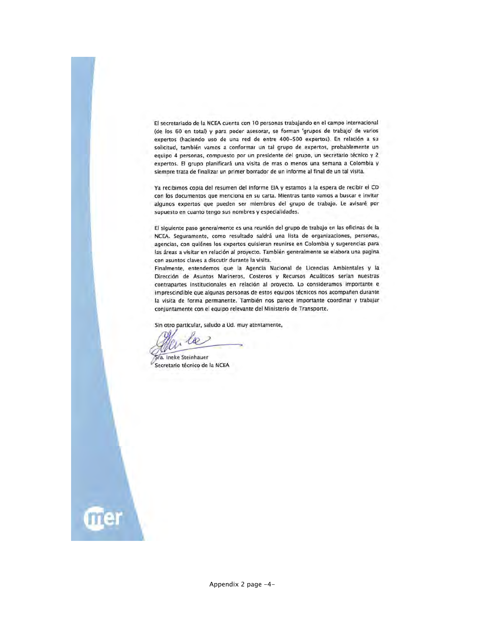El secretariado de la NCEA cuenta con 10 personas trabajando en el campo internacional (de los 60 en total) y para poder asesorar, se forman 'grupos de trabajo' de varios expertos (haciendo uso de una red de entre 400-500 expertos). En relación a su solicitud, también vamos a conformar un tal grupo de expertos, probablemente un equipo 4 personas, compuesto por un presidente del grupo, un secretario técnico y 2 expertos. El grupo planificará una visita de mas o menos una semana a Colombia y siempre trata de finalizar un primer borrador de un informe al final de un tal visita.

Ya recibimos copia del resumen del informe EIA y estamos a la espera de recibir el CD con los documentos que menciona en su carta. Mientras tanto vamos a buscar e invitar algunos expertos que pueden ser miembros del grupo de trabajo. Le avisaré por supuesto en cuanto tengo sus nombres y especialidades.

El siguiente paso generalmente es una reunión del grupo de trabajo en las oficinas de la NCEA. Seguramente, como resultado saldrá una lista de organizaciones, personas, agencias, con quiénes los expertos quisieran reunirse en Colombia y sugerencias para las áreas a visitar en relación al proyecto. También generalmente se elabora una pagina con asuntos claves a discutir durante la visita.

Finalmente, entendemos que la Agencia Nacional de Licencias Ambientales y la Dirección de Asuntos Marineros, Costeros y Recursos Acuáticos serían nuestras contrapartes institucionales en relación al proyecto. Lo consideramos importante e imprescindible que algunas personas de estos equipos técnicos nos acompañen durante la visita de forma permanente. También nos parece importante coordinar y trabajar conjuntamente con el equipo relevante del Ministerio de Transporte.

Sin otro particular, saludo a Ud. muy atentamente,

Sra. Ineke Steinhauer Secretario técnico de la NCEA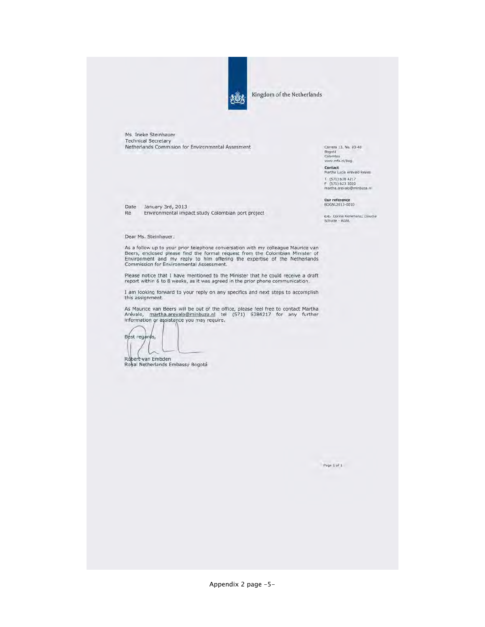

Kingdom of the Netherlands

Ms. Ineke Steinhauer **Technical Secretary** Netherlands Commision for Environmental Assesment

Carrera 13, No. 93-40 Bogotá<br>Colombia<br>www.mfa.nl/bog Contact<br>Martha Lucia Arevalo Reyes T (571) 638 4217<br>F (571) 623 3020<br>martha.arevalo@minbuza.nl

Our reference<br>BOGNL2013-0010

c.c. Corina Kerkmans; Claudia<br>Schutte - AGNL

Re Environmental impact study Colombian port project

#### Dear Ms. Steinhauer:

Date January 3rd, 2013

As a follow up to your prior telephone conversation with my colleague Maurice van<br>Beers, enclosed please find the formal request from the Colombian Minister of<br>Environment and my reply to him offering the expertise of the

Please notice that I have mentioned to the Minister that he could receive a draft report within 6 to 8 weeks, as it was agreed in the prior phone communication.

I am looking forward to your reply on any specifics and next steps to accomplish this assignment.

As Maurice van Beers will be out of the office, please feel free to contact Martha<br>Arévalo, martha.arevalo@minbuza.nl tel (571) 6384217 for any further<br>Information or assistance you may require,

Best regards,

Robert van Embden<br>Royal Netherlands Embassy Bogotá

 $Page 1$  pf  $1$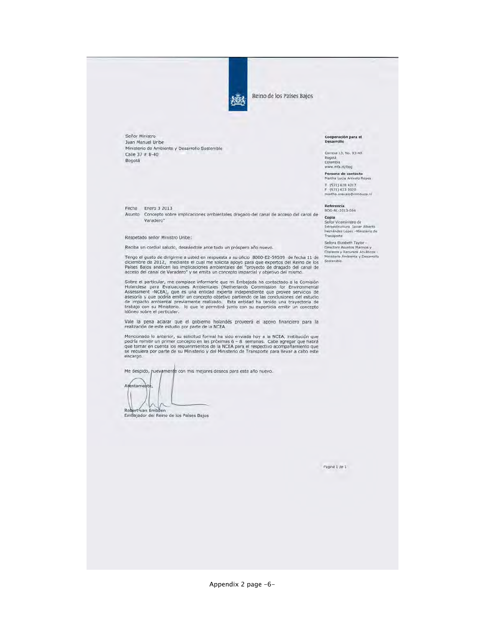

Reino de los Países Bajos

Señor Ministro Juan Manuel Uribe Ministerio de Ambiente y Desarrollo Sostenible Calle 37 #  $8-40$ Bogotá

Fecha Enero 3 2013

Asunto Concepto sobre implicaciones ambientales dragado del canal de acceso del canal de Varadero"

Respetado señor Ministro Uribe:

Reciba un cordial saludo, deseándole ante todo un próspero año nuevo.

Tengo el gusto de dirigirme a usted en respuesta a su oficio 8000-E2-59509 de fecha 11 de diciembre de 2012, mediante el cual me solicita apoyo para que expertos del Reino de los<br>Países Bajos analicen las implicaciones ambientales del "proyecto de dragado del canal de<br>acceso del canal de Varadero" y se emita un

Sobre el particular, me complace informarle que mi Embajada ha contactado a la Comisión Holandesa para Evaluaciones Ambientales (Netherlands Commission for Environmental Assessment -NCEA), que es una entidad experta indepe

Vale la pena aclarar que el gobierno holandés proveerá el apoyo financiero para la realización de este estudio por parte de la NCEA.

Mencionado lo anterior, su solicitud formal ha sido enviada hoy a la NCEA, institución que podría remitir un primer concepto en las próximas 6 - 8 semanas. Cabe agregar que habrá que que tomar en cuenta los requerimientos encargo.

Me despido, puevamente con mis mejores deseos para este año nuevo.

Atentament Robert van Embden

Embajador del Reino de los Países Bajos

Cooperación para el<br>Desarrollo

Carrera 13, No. 93-40 Bogotá Colombia<br>www.mfa.nl/bog **Persona de contacto**<br>Martha Lucia Arévalo Reyes

T (571) 638 4217 F (571) 623 3020<br>martha.arevalo@mi In. 63uditin

Referencia<br>BOG-NL-2013-004

Copia<br>
Señor Viceministro de<br>
Intraestructura Javier Alberto<br>
Hermandez Lopez -Ministerio de<br>
Transporte<br>
Señora Elizabeth Taylor -

Señora Elizabeth Taylor Directora Asuntus Marinos y<br>Costeros y Recursos Acuáticos -<br>Ministerio Ambiente y Desarrollo<br>Sostenible.

Página 1 de 1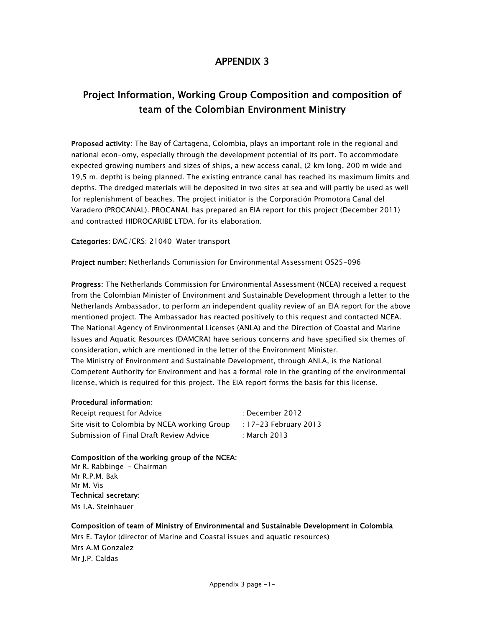## Project Information, Working Group Composition and composition of team of the Colombian Environment Ministry

Proposed activity: The Bay of Cartagena, Colombia, plays an important role in the regional and national econ-omy, especially through the development potential of its port. To accommodate expected growing numbers and sizes of ships, a new access canal, (2 km long, 200 m wide and 19,5 m. depth) is being planned. The existing entrance canal has reached its maximum limits and depths. The dredged materials will be deposited in two sites at sea and will partly be used as well for replenishment of beaches. The project initiator is the Corporación Promotora Canal del Varadero (PROCANAL). PROCANAL has prepared an EIA report for this project (December 2011) and contracted HIDROCARIBE LTDA. for its elaboration.

Categories: DAC/CRS: 21040 Water transport

Project number: Netherlands Commission for Environmental Assessment OS25-096

Progress: The Netherlands Commission for Environmental Assessment (NCEA) received a request from the Colombian Minister of Environment and Sustainable Development through a letter to the Netherlands Ambassador, to perform an independent quality review of an EIA report for the above mentioned project. The Ambassador has reacted positively to this request and contacted NCEA. The National Agency of Environmental Licenses (ANLA) and the Direction of Coastal and Marine Issues and Aquatic Resources (DAMCRA) have serious concerns and have specified six themes of consideration, which are mentioned in the letter of the Environment Minister. The Ministry of Environment and Sustainable Development, through ANLA, is the National Competent Authority for Environment and has a formal role in the granting of the environmental license, which is required for this project. The EIA report forms the basis for this license.

#### Procedural information:

Receipt request for Advice **in the COV** in December 2012 Site visit to Colombia by NCEA working Group : 17-23 February 2013 Submission of Final Draft Review Advice : March 2013

#### Composition of the working group of the NCEA:

Mr R. Rabbinge – Chairman Mr R.P.M. Bak Mr M. Vis Technical secretary: Ms I.A. Steinhauer

#### Composition of team of Ministry of Environmental and Sustainable Development in Colombia

Mrs E. Taylor (director of Marine and Coastal issues and aquatic resources) Mrs A.M Gonzalez Mr J.P. Caldas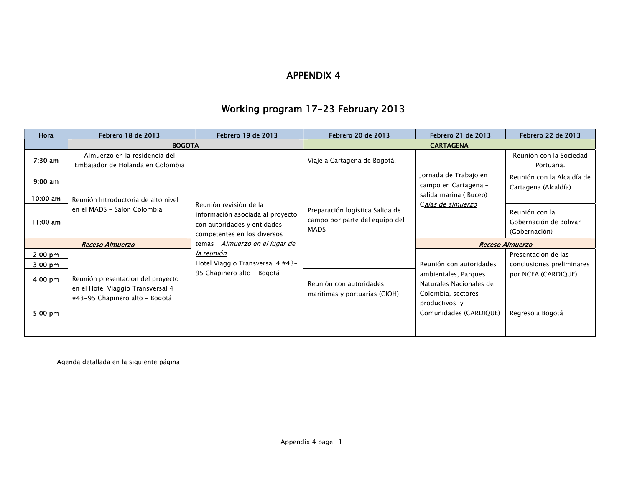## Working program 17-23 February 2013

| Hora                   | Febrero 18 de 2013                                                                                       | Febrero 19 de 2013                                                                                                       | Febrero 20 de 2013                                                               | Febrero 21 de 2013                                                                                                                          | Febrero 22 de 2013                                        |
|------------------------|----------------------------------------------------------------------------------------------------------|--------------------------------------------------------------------------------------------------------------------------|----------------------------------------------------------------------------------|---------------------------------------------------------------------------------------------------------------------------------------------|-----------------------------------------------------------|
|                        | <b>BOGOTA</b>                                                                                            |                                                                                                                          | <b>CARTAGENA</b>                                                                 |                                                                                                                                             |                                                           |
| $7:30$ am              | Almuerzo en la residencia del<br>Embajador de Holanda en Colombia                                        | Reunión revisión de la<br>información asociada al proyecto<br>con autoridades y entidades<br>competentes en los diversos | Viaje a Cartagena de Bogotá.                                                     | Jornada de Trabajo en<br>campo en Cartagena -<br>salida marina (Buceo) -<br>Cajas de almuerzo                                               | Reunión con la Sociedad<br>Portuaria.                     |
| $9:00$ am              |                                                                                                          |                                                                                                                          | Preparación logística Salida de<br>campo por parte del equipo del<br><b>MADS</b> |                                                                                                                                             | Reunión con la Alcaldía de<br>Cartagena (Alcaldía)        |
| $10:00$ am             | Reunión Introductoria de alto nivel                                                                      |                                                                                                                          |                                                                                  |                                                                                                                                             |                                                           |
| $11:00$ am             | en el MADS - Salón Colombia                                                                              |                                                                                                                          |                                                                                  |                                                                                                                                             | Reunión con la<br>Gobernación de Bolivar<br>(Gobernación) |
| <b>Receso Almuerzo</b> |                                                                                                          | temas - Almuerzo en el lugar de                                                                                          |                                                                                  | <b>Receso Almuerzo</b>                                                                                                                      |                                                           |
| $2:00$ pm              |                                                                                                          | la reunión<br>Hotel Viaggio Transversal 4 #43-<br>95 Chapinero alto - Bogotá                                             |                                                                                  | Reunión con autoridades<br>ambientales, Parques<br>Naturales Nacionales de<br>Colombia, sectores<br>productivos y<br>Comunidades (CARDIQUE) | Presentación de las                                       |
| $3:00$ pm              | Reunión presentación del proyecto<br>en el Hotel Viaggio Transversal 4<br>#43-95 Chapinero alto - Bogotá |                                                                                                                          |                                                                                  |                                                                                                                                             | conclusiones preliminares                                 |
| $4:00 \text{ pm}$      |                                                                                                          |                                                                                                                          | Reunión con autoridades<br>marítimas y portuarias (CIOH)                         |                                                                                                                                             | por NCEA (CARDIQUE)                                       |
| $5:00 \text{ pm}$      |                                                                                                          |                                                                                                                          |                                                                                  |                                                                                                                                             | Regreso a Bogotá                                          |

Agenda detallada en la siguiente página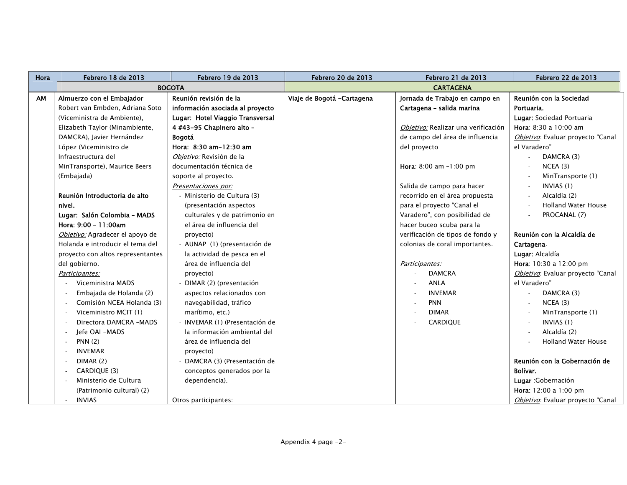| Hora | <b>Febrero 18 de 2013</b>         | Febrero 19 de 2013               | <b>Febrero 20 de 2013</b>   | Febrero 21 de 2013                  | Febrero 22 de 2013                |
|------|-----------------------------------|----------------------------------|-----------------------------|-------------------------------------|-----------------------------------|
|      | <b>BOGOTA</b>                     |                                  | <b>CARTAGENA</b>            |                                     |                                   |
| AM   | Almuerzo con el Embajador         | Reunión revisión de la           | Viaje de Bogotá - Cartagena | Jornada de Trabajo en campo en      | Reunión con la Sociedad           |
|      | Robert van Embden, Adriana Soto   | información asociada al proyecto |                             | Cartagena - salida marina           | Portuaria.                        |
|      | (Viceministra de Ambiente).       | Lugar: Hotel Viaggio Transversal |                             |                                     | Lugar: Sociedad Portuaria         |
|      | Elizabeth Taylor (Minambiente,    | 4 #43-95 Chapinero alto -        |                             | Objetivo: Realizar una verificación | Hora: 8:30 a 10:00 am             |
|      | DAMCRA), Javier Hernández         | <b>Bogotá</b>                    |                             | de campo del área de influencia     | Objetivo: Evaluar proyecto "Canal |
|      | López (Viceministro de            | Hora: 8:30 am-12:30 am           |                             | del proyecto                        | el Varadero"                      |
|      | Infraestructura del               | Obietivo: Revisión de la         |                             |                                     | DAMCRA (3)                        |
|      | MinTransporte), Maurice Beers     | documentación técnica de         |                             | <b>Hora:</b> $8:00$ am $-1:00$ pm   | NCEA(3)                           |
|      | (Embajada)                        | soporte al proyecto.             |                             |                                     | MinTransporte (1)                 |
|      |                                   | Presentaciones por:              |                             | Salida de campo para hacer          | INVIAS (1)                        |
|      | Reunión Introductoria de alto     | - Ministerio de Cultura (3)      |                             | recorrido en el área propuesta      | Alcaldía (2)<br>$\omega$          |
|      | nivel.                            | (presentación aspectos           |                             | para el proyecto "Canal el          | <b>Holland Water House</b>        |
|      | Lugar: Salón Colombia - MADS      | culturales y de patrimonio en    |                             | Varadero", con posibilidad de       | PROCANAL (7)                      |
|      | Hora: 9:00 - 11:00am              | el área de influencia del        |                             | hacer buceo scuba para la           |                                   |
|      | Objetivo: Agradecer el apoyo de   | proyecto)                        |                             | verificación de tipos de fondo y    | Reunión con la Alcaldía de        |
|      | Holanda e introducir el tema del  | - AUNAP (1) (presentación de     |                             | colonias de coral importantes.      | Cartagena.                        |
|      | proyecto con altos representantes | la actividad de pesca en el      |                             |                                     | Lugar: Alcaldía                   |
|      | del gobierno.                     | área de influencia del           |                             | Participantes:                      | Hora: 10:30 a 12:00 pm            |
|      | Participantes:                    | proyecto)                        |                             | <b>DAMCRA</b>                       | Objetivo: Evaluar proyecto "Canal |
|      | Viceministra MADS                 | - DIMAR (2) (presentación        |                             | <b>ANLA</b>                         | el Varadero"                      |
|      | Embajada de Holanda (2)           | aspectos relacionados con        |                             | <b>INVEMAR</b>                      | DAMCRA (3)                        |
|      | Comisión NCEA Holanda (3)         | navegabilidad, tráfico           |                             | <b>PNN</b>                          | NCEA(3)                           |
|      | Viceministro MCIT (1)             | marítimo, etc.)                  |                             | <b>DIMAR</b>                        | MinTransporte (1)                 |
|      | Directora DAMCRA -MADS            | - INVEMAR (1) (Presentación de   |                             | CARDIQUE                            | INVIAS (1)                        |
|      | Jefe OAI -MADS                    | la información ambiental del     |                             |                                     | Alcaldía (2)                      |
|      | PNN(2)                            | área de influencia del           |                             |                                     | <b>Holland Water House</b>        |
|      | <b>INVEMAR</b><br>$\sim$          | proyecto)                        |                             |                                     |                                   |
|      | DIMAR(2)                          | DAMCRA (3) (Presentación de      |                             |                                     | Reunión con la Gobernación de     |
|      | CARDIQUE (3)                      | conceptos generados por la       |                             |                                     | Bolívar.                          |
|      | Ministerio de Cultura             | dependencia).                    |                             |                                     | Lugar : Gobernación               |
|      | (Patrimonio cultural) (2)         |                                  |                             |                                     | Hora: 12:00 a 1:00 pm             |
|      | <b>INVIAS</b>                     | Otros participantes:             |                             |                                     | Objetivo: Evaluar proyecto "Canal |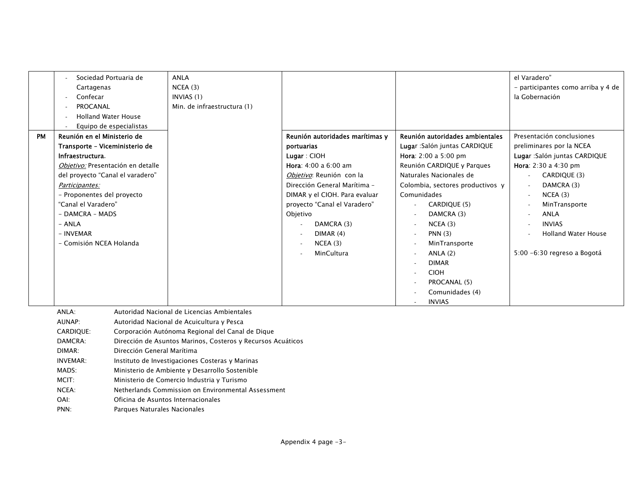|           | Sociedad Portuaria de<br>Cartagenas<br>Confecar                                                                                                                                                                                                                                                                                   |                                                            | ANLA<br>NCEA(3)<br>INVIAS (1)                                                                                                                                                                                                                                                                                                                                                                                                                              |                                                                                                                                                                                                                                                                                  |                                                                                                                                                                                                                                                                                                                                                       | el Varadero"<br>- participantes como arriba y 4 de<br>la Gobernación                                                                                                                                                                                                  |
|-----------|-----------------------------------------------------------------------------------------------------------------------------------------------------------------------------------------------------------------------------------------------------------------------------------------------------------------------------------|------------------------------------------------------------|------------------------------------------------------------------------------------------------------------------------------------------------------------------------------------------------------------------------------------------------------------------------------------------------------------------------------------------------------------------------------------------------------------------------------------------------------------|----------------------------------------------------------------------------------------------------------------------------------------------------------------------------------------------------------------------------------------------------------------------------------|-------------------------------------------------------------------------------------------------------------------------------------------------------------------------------------------------------------------------------------------------------------------------------------------------------------------------------------------------------|-----------------------------------------------------------------------------------------------------------------------------------------------------------------------------------------------------------------------------------------------------------------------|
|           | PROCANAL<br><b>Holland Water House</b>                                                                                                                                                                                                                                                                                            |                                                            | Min. de infraestructura (1)                                                                                                                                                                                                                                                                                                                                                                                                                                |                                                                                                                                                                                                                                                                                  |                                                                                                                                                                                                                                                                                                                                                       |                                                                                                                                                                                                                                                                       |
| <b>PM</b> | Equipo de especialistas<br>Reunión en el Ministerio de<br>Transporte - Viceministerio de<br>Infraestructura.<br>Objetivo: Presentación en detalle<br>del proyecto "Canal el varadero"<br>Participantes:<br>- Proponentes del proyecto<br>"Canal el Varadero"<br>- DAMCRA - MADS<br>- ANLA<br>- INVEMAR<br>- Comisión NCEA Holanda |                                                            |                                                                                                                                                                                                                                                                                                                                                                                                                                                            | Reunión autoridades marítimas y<br>portuarias<br>Lugar: CIOH<br>Hora: 4:00 a 6:00 am<br>Objetivo: Reunión con la<br>Dirección General Marítima -<br>DIMAR y el CIOH. Para evaluar<br>proyecto "Canal el Varadero"<br>Objetivo<br>DAMCRA (3)<br>DIMAR(4)<br>NCEA(3)<br>MinCultura | Reunión autoridades ambientales<br>Lugar : Salón juntas CARDIQUE<br><b>Hora</b> : $2:00$ a $5:00$ pm<br>Reunión CARDIQUE y Parques<br>Naturales Nacionales de<br>Colombia, sectores productivos y<br>Comunidades<br>CARDIQUE (5)<br>DAMCRA (3)<br>NCEA(3)<br>$\sim$<br>PNN(3)<br>MinTransporte<br>ANLA $(2)$<br>$\sim$<br><b>DIMAR</b><br><b>CIOH</b> | Presentación conclusiones<br>preliminares por la NCEA<br>Lugar : Salón juntas CARDIQUE<br>Hora: 2:30 a 4:30 pm<br>CARDIQUE (3)<br>DAMCRA (3)<br>NCEA(3)<br>MinTransporte<br><b>ANLA</b><br><b>INVIAS</b><br><b>Holland Water House</b><br>5:00 -6:30 regreso a Bogotá |
|           |                                                                                                                                                                                                                                                                                                                                   |                                                            |                                                                                                                                                                                                                                                                                                                                                                                                                                                            |                                                                                                                                                                                                                                                                                  | PROCANAL (5)<br>$\sim$<br>Comunidades (4)<br><b>INVIAS</b><br>$\sim$                                                                                                                                                                                                                                                                                  |                                                                                                                                                                                                                                                                       |
|           | ANLA:<br>AUNAP:<br><b>CARDIQUE:</b><br>DAMCRA:<br>DIMAR:<br><b>INVEMAR:</b><br>MADS:<br>MCIT:<br>NCEA:<br>OAI:<br>PNN:                                                                                                                                                                                                            | Dirección General Marítima<br>Parques Naturales Nacionales | Autoridad Nacional de Licencias Ambientales<br>Autoridad Nacional de Acuicultura y Pesca<br>Corporación Autónoma Regional del Canal de Dique<br>Dirección de Asuntos Marinos, Costeros y Recursos Acuáticos<br>Instituto de Investigaciones Costeras y Marinas<br>Ministerio de Ambiente y Desarrollo Sostenible<br>Ministerio de Comercio Industria y Turismo<br>Netherlands Commission on Environmental Assessment<br>Oficina de Asuntos Internacionales |                                                                                                                                                                                                                                                                                  |                                                                                                                                                                                                                                                                                                                                                       |                                                                                                                                                                                                                                                                       |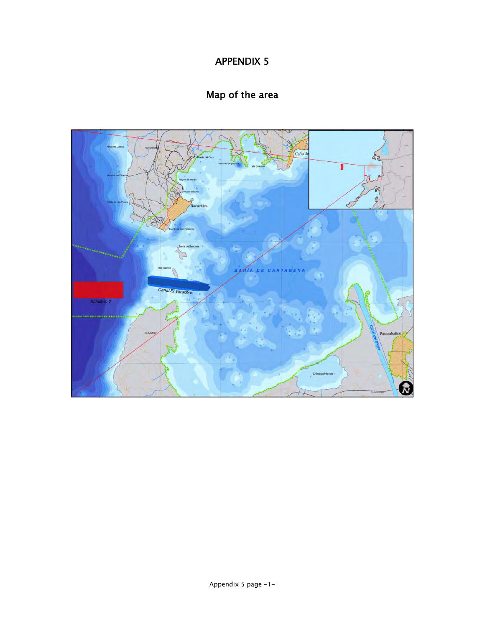## Map of the area

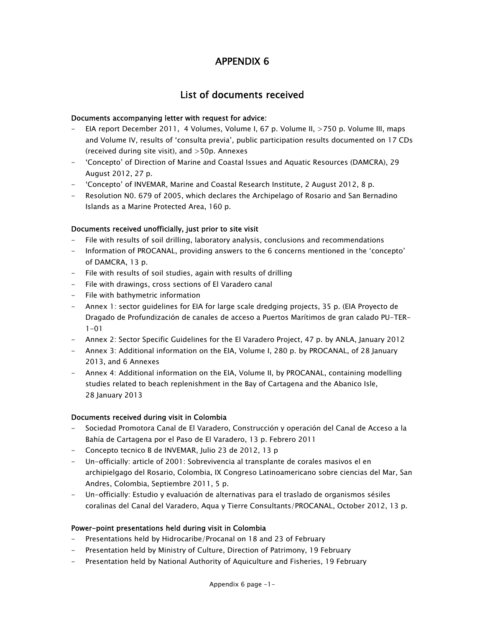## List of documents received

#### Documents accompanying letter with request for advice:

- EIA report December 2011, 4 Volumes, Volume I, 67 p. Volume II, >750 p. Volume III, maps and Volume IV, results of 'consulta previa', public participation results documented on 17 CDs (received during site visit), and >50p. Annexes
- 'Concepto' of Direction of Marine and Coastal Issues and Aquatic Resources (DAMCRA), 29 August 2012, 27 p.
- 'Concepto' of INVEMAR, Marine and Coastal Research Institute, 2 August 2012, 8 p.
- Resolution N0. 679 of 2005, which declares the Archipelago of Rosario and San Bernadino Islands as a Marine Protected Area, 160 p.

#### Documents received unofficially, just prior to site visit

- File with results of soil drilling, laboratory analysis, conclusions and recommendations
- Information of PROCANAL, providing answers to the 6 concerns mentioned in the 'concepto' of DAMCRA, 13 p.
- File with results of soil studies, again with results of drilling
- File with drawings, cross sections of El Varadero canal
- File with bathymetric information
- Annex 1: sector guidelines for EIA for large scale dredging projects, 35 p. (EIA Proyecto de Dragado de Profundización de canales de acceso a Puertos Marítimos de gran calado PU-TER- $1 - 01$
- Annex 2: Sector Specific Guidelines for the El Varadero Project, 47 p. by ANLA, January 2012
- Annex 3: Additional information on the EIA, Volume I, 280 p. by PROCANAL, of 28 January 2013, and 6 Annexes
- Annex 4: Additional information on the EIA, Volume II, by PROCANAL, containing modelling studies related to beach replenishment in the Bay of Cartagena and the Abanico Isle, 28 January 2013

#### Documents received during visit in Colombia

- Sociedad Promotora Canal de El Varadero, Construcción y operación del Canal de Acceso a la Bahía de Cartagena por el Paso de El Varadero, 13 p. Febrero 2011
- Concepto tecnico B de INVEMAR, Julio 23 de 2012, 13 p
- Un-officially: article of 2001: Sobrevivencia al transplante de corales masivos el en archipielgago del Rosario, Colombia, IX Congreso Latinoamericano sobre ciencias del Mar, San Andres, Colombia, Septiembre 2011, 5 p.
- Un-officially: Estudio y evaluación de alternativas para el traslado de organismos sésiles coralinas del Canal del Varadero, Aqua y Tierre Consultants/PROCANAL, October 2012, 13 p.

#### Power-point presentations held during visit in Colombia

- Presentations held by Hidrocaribe/Procanal on 18 and 23 of February
- Presentation held by Ministry of Culture, Direction of Patrimony, 19 February
- Presentation held by National Authority of Aquiculture and Fisheries, 19 February